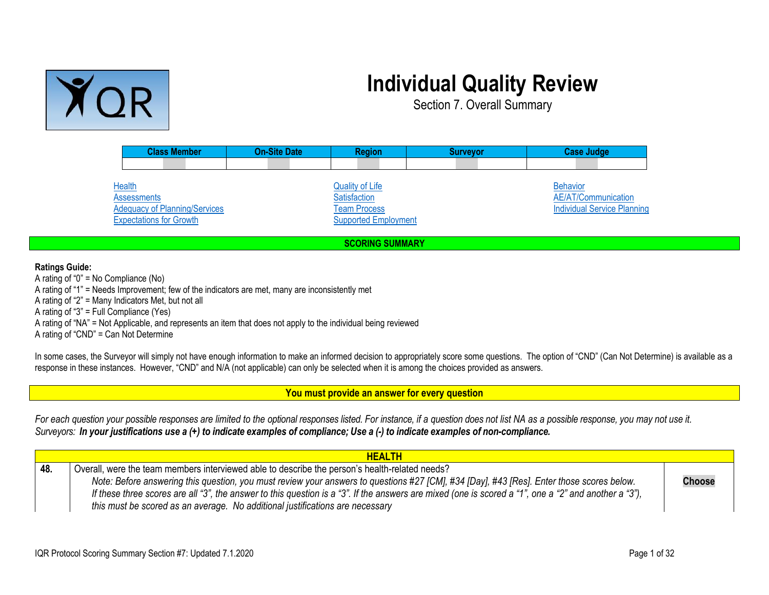

## **Individual Quality Review**

Section 7. Overall Summary

| <b>Class Member</b>                                                         | <b>On-Site Date</b> | <b>Region</b>                                                 | <b>Surveyor</b> | <b>Case Judge</b>                                                            |
|-----------------------------------------------------------------------------|---------------------|---------------------------------------------------------------|-----------------|------------------------------------------------------------------------------|
|                                                                             |                     |                                                               |                 |                                                                              |
| <b>Health</b><br><b>Assessments</b><br><b>Adequacy of Planning/Services</b> |                     | <b>Quality of Life</b><br>Satisfaction<br><b>Team Process</b> |                 | <b>Behavior</b><br>AE/AT/Communication<br><b>Individual Service Planning</b> |
| <b>Expectations for Growth</b>                                              |                     | <b>Supported Employment</b>                                   |                 |                                                                              |
| <b>SCORING SUMMARY</b>                                                      |                     |                                                               |                 |                                                                              |

**Ratings Guide:**

A rating of "0" = No Compliance (No) A rating of "1" = Needs Improvement; few of the indicators are met, many are inconsistently met A rating of "2" = Many Indicators Met, but not all A rating of "3" = Full Compliance (Yes) A rating of "NA" = Not Applicable, and represents an item that does not apply to the individual being reviewed A rating of "CND" = Can Not Determine

In some cases, the Surveyor will simply not have enough information to make an informed decision to appropriately score some questions. The option of "CND" (Can Not Determine) is available as a response in these instances. However, "CND" and N/A (not applicable) can only be selected when it is among the choices provided as answers.

<span id="page-0-1"></span>**You must provide an answer for every question**

For each question your possible responses are limited to the optional responses listed. For instance, if a question does not list NA as a possible response, you may not use it. Surveyors: In your justifications use a (+) to indicate examples of compliance; Use a (-) to indicate examples of non-compliance.

<span id="page-0-0"></span>

|     | <b>HEALTH</b>                                                                                                                                         |               |
|-----|-------------------------------------------------------------------------------------------------------------------------------------------------------|---------------|
| 48. | Overall, were the team members interviewed able to describe the person's health-related needs?                                                        |               |
|     | Note: Before answering this question, you must review your answers to questions #27 [CM], #34 [Day], #43 [Res]. Enter those scores below.             | <b>Choose</b> |
|     | If these three scores are all "3", the answer to this question is a "3". If the answers are mixed (one is scored a "1", one a "2" and another a "3"), |               |
|     | this must be scored as an average. No additional justifications are necessary                                                                         |               |
|     |                                                                                                                                                       |               |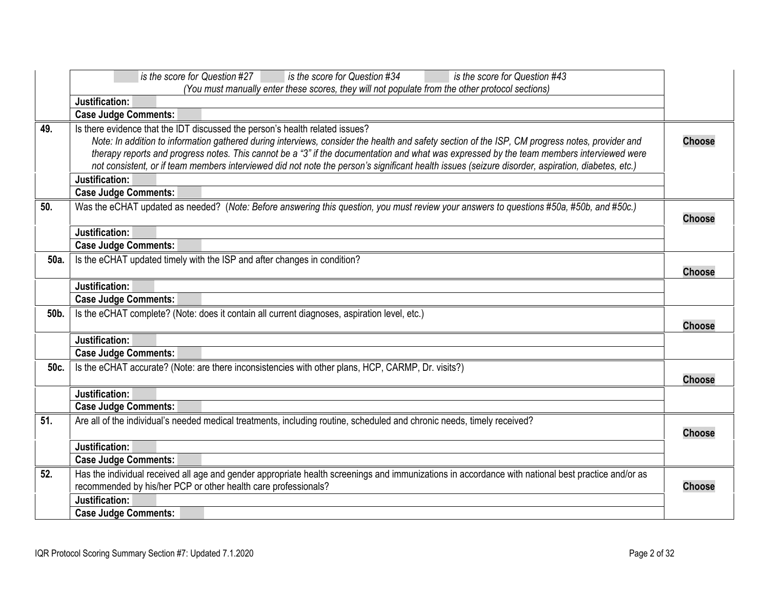<span id="page-1-6"></span><span id="page-1-5"></span><span id="page-1-4"></span><span id="page-1-3"></span><span id="page-1-2"></span><span id="page-1-1"></span><span id="page-1-0"></span>

|      | is the score for Question #34<br>is the score for Question #43<br>is the score for Question #27                                                                                                                                                                                                                                                                                                                                                                                                                                                     |               |
|------|-----------------------------------------------------------------------------------------------------------------------------------------------------------------------------------------------------------------------------------------------------------------------------------------------------------------------------------------------------------------------------------------------------------------------------------------------------------------------------------------------------------------------------------------------------|---------------|
|      | (You must manually enter these scores, they will not populate from the other protocol sections)                                                                                                                                                                                                                                                                                                                                                                                                                                                     |               |
|      | Justification:                                                                                                                                                                                                                                                                                                                                                                                                                                                                                                                                      |               |
|      | <b>Case Judge Comments:</b>                                                                                                                                                                                                                                                                                                                                                                                                                                                                                                                         |               |
| 49.  | Is there evidence that the IDT discussed the person's health related issues?<br>Note: In addition to information gathered during interviews, consider the health and safety section of the ISP, CM progress notes, provider and<br>therapy reports and progress notes. This cannot be a "3" if the documentation and what was expressed by the team members interviewed were<br>not consistent, or if team members interviewed did not note the person's significant health issues (seizure disorder, aspiration, diabetes, etc.)<br>Justification: | <b>Choose</b> |
|      | <b>Case Judge Comments:</b>                                                                                                                                                                                                                                                                                                                                                                                                                                                                                                                         |               |
| 50.  | Was the eCHAT updated as needed? (Note: Before answering this question, you must review your answers to questions #50a, #50b, and #50c.)                                                                                                                                                                                                                                                                                                                                                                                                            | <b>Choose</b> |
|      | Justification:                                                                                                                                                                                                                                                                                                                                                                                                                                                                                                                                      |               |
|      | <b>Case Judge Comments:</b>                                                                                                                                                                                                                                                                                                                                                                                                                                                                                                                         |               |
| 50a. | Is the eCHAT updated timely with the ISP and after changes in condition?                                                                                                                                                                                                                                                                                                                                                                                                                                                                            | <b>Choose</b> |
|      | Justification:                                                                                                                                                                                                                                                                                                                                                                                                                                                                                                                                      |               |
|      | <b>Case Judge Comments:</b>                                                                                                                                                                                                                                                                                                                                                                                                                                                                                                                         |               |
| 50b. | Is the eCHAT complete? (Note: does it contain all current diagnoses, aspiration level, etc.)                                                                                                                                                                                                                                                                                                                                                                                                                                                        | <b>Choose</b> |
|      | Justification:                                                                                                                                                                                                                                                                                                                                                                                                                                                                                                                                      |               |
|      | <b>Case Judge Comments:</b>                                                                                                                                                                                                                                                                                                                                                                                                                                                                                                                         |               |
| 50c. | Is the eCHAT accurate? (Note: are there inconsistencies with other plans, HCP, CARMP, Dr. visits?)                                                                                                                                                                                                                                                                                                                                                                                                                                                  | <b>Choose</b> |
|      | Justification:                                                                                                                                                                                                                                                                                                                                                                                                                                                                                                                                      |               |
|      | <b>Case Judge Comments:</b>                                                                                                                                                                                                                                                                                                                                                                                                                                                                                                                         |               |
| 51.  | Are all of the individual's needed medical treatments, including routine, scheduled and chronic needs, timely received?                                                                                                                                                                                                                                                                                                                                                                                                                             | <b>Choose</b> |
|      | Justification:                                                                                                                                                                                                                                                                                                                                                                                                                                                                                                                                      |               |
|      | <b>Case Judge Comments:</b>                                                                                                                                                                                                                                                                                                                                                                                                                                                                                                                         |               |
| 52.  | Has the individual received all age and gender appropriate health screenings and immunizations in accordance with national best practice and/or as<br>recommended by his/her PCP or other health care professionals?                                                                                                                                                                                                                                                                                                                                | <b>Choose</b> |
|      | Justification:                                                                                                                                                                                                                                                                                                                                                                                                                                                                                                                                      |               |
|      | <b>Case Judge Comments:</b>                                                                                                                                                                                                                                                                                                                                                                                                                                                                                                                         |               |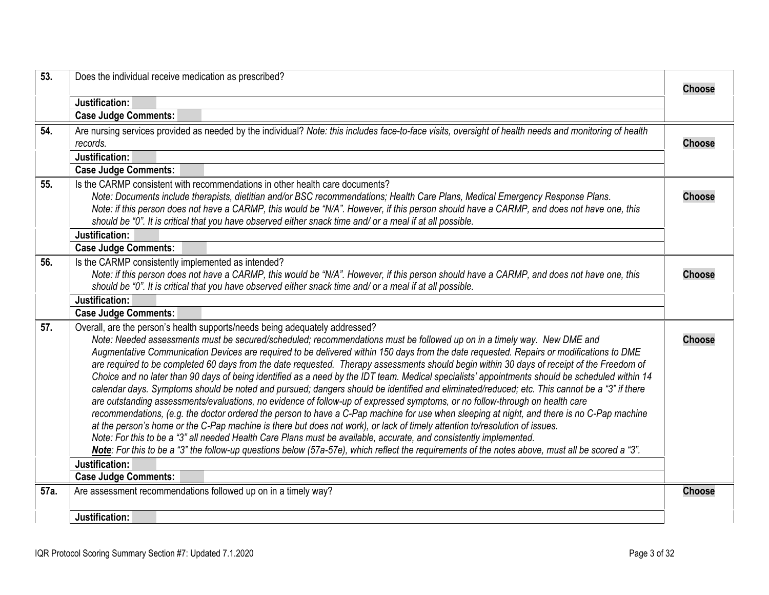<span id="page-2-5"></span><span id="page-2-4"></span><span id="page-2-3"></span><span id="page-2-2"></span><span id="page-2-1"></span><span id="page-2-0"></span>

| 53.  | Does the individual receive medication as prescribed?                                                                                                                                                                                                                                                                                                                                                                                                                                                                                                                                                                                                                                                                                                                                                                                                                                                                                                                                                                                                                                                                                                                                                                                                                                                                                                                                                                                                                                                                                       | <b>Choose</b> |
|------|---------------------------------------------------------------------------------------------------------------------------------------------------------------------------------------------------------------------------------------------------------------------------------------------------------------------------------------------------------------------------------------------------------------------------------------------------------------------------------------------------------------------------------------------------------------------------------------------------------------------------------------------------------------------------------------------------------------------------------------------------------------------------------------------------------------------------------------------------------------------------------------------------------------------------------------------------------------------------------------------------------------------------------------------------------------------------------------------------------------------------------------------------------------------------------------------------------------------------------------------------------------------------------------------------------------------------------------------------------------------------------------------------------------------------------------------------------------------------------------------------------------------------------------------|---------------|
|      | Justification:                                                                                                                                                                                                                                                                                                                                                                                                                                                                                                                                                                                                                                                                                                                                                                                                                                                                                                                                                                                                                                                                                                                                                                                                                                                                                                                                                                                                                                                                                                                              |               |
|      | <b>Case Judge Comments:</b>                                                                                                                                                                                                                                                                                                                                                                                                                                                                                                                                                                                                                                                                                                                                                                                                                                                                                                                                                                                                                                                                                                                                                                                                                                                                                                                                                                                                                                                                                                                 |               |
| 54.  | Are nursing services provided as needed by the individual? Note: this includes face-to-face visits, oversight of health needs and monitoring of health<br>records.                                                                                                                                                                                                                                                                                                                                                                                                                                                                                                                                                                                                                                                                                                                                                                                                                                                                                                                                                                                                                                                                                                                                                                                                                                                                                                                                                                          | <b>Choose</b> |
|      | Justification:                                                                                                                                                                                                                                                                                                                                                                                                                                                                                                                                                                                                                                                                                                                                                                                                                                                                                                                                                                                                                                                                                                                                                                                                                                                                                                                                                                                                                                                                                                                              |               |
|      | <b>Case Judge Comments:</b>                                                                                                                                                                                                                                                                                                                                                                                                                                                                                                                                                                                                                                                                                                                                                                                                                                                                                                                                                                                                                                                                                                                                                                                                                                                                                                                                                                                                                                                                                                                 |               |
| 55.  | Is the CARMP consistent with recommendations in other health care documents?<br>Note: Documents include therapists, dietitian and/or BSC recommendations; Health Care Plans, Medical Emergency Response Plans.<br>Note: if this person does not have a CARMP, this would be "N/A". However, if this person should have a CARMP, and does not have one, this<br>should be "0". It is critical that you have observed either snack time and/ or a meal if at all possible.                                                                                                                                                                                                                                                                                                                                                                                                                                                                                                                                                                                                                                                                                                                                                                                                                                                                                                                                                                                                                                                                    | <b>Choose</b> |
|      | Justification:                                                                                                                                                                                                                                                                                                                                                                                                                                                                                                                                                                                                                                                                                                                                                                                                                                                                                                                                                                                                                                                                                                                                                                                                                                                                                                                                                                                                                                                                                                                              |               |
|      | <b>Case Judge Comments:</b>                                                                                                                                                                                                                                                                                                                                                                                                                                                                                                                                                                                                                                                                                                                                                                                                                                                                                                                                                                                                                                                                                                                                                                                                                                                                                                                                                                                                                                                                                                                 |               |
| 56.  | Is the CARMP consistently implemented as intended?<br>Note: if this person does not have a CARMP, this would be "N/A". However, if this person should have a CARMP, and does not have one, this<br>should be "0". It is critical that you have observed either snack time and/ or a meal if at all possible.                                                                                                                                                                                                                                                                                                                                                                                                                                                                                                                                                                                                                                                                                                                                                                                                                                                                                                                                                                                                                                                                                                                                                                                                                                | <b>Choose</b> |
|      | Justification:                                                                                                                                                                                                                                                                                                                                                                                                                                                                                                                                                                                                                                                                                                                                                                                                                                                                                                                                                                                                                                                                                                                                                                                                                                                                                                                                                                                                                                                                                                                              |               |
|      | <b>Case Judge Comments:</b>                                                                                                                                                                                                                                                                                                                                                                                                                                                                                                                                                                                                                                                                                                                                                                                                                                                                                                                                                                                                                                                                                                                                                                                                                                                                                                                                                                                                                                                                                                                 |               |
| 57.  | Overall, are the person's health supports/needs being adequately addressed?<br>Note: Needed assessments must be secured/scheduled; recommendations must be followed up on in a timely way. New DME and<br>Augmentative Communication Devices are required to be delivered within 150 days from the date requested. Repairs or modifications to DME<br>are required to be completed 60 days from the date requested. Therapy assessments should begin within 30 days of receipt of the Freedom of<br>Choice and no later than 90 days of being identified as a need by the IDT team. Medical specialists' appointments should be scheduled within 14<br>calendar days. Symptoms should be noted and pursued; dangers should be identified and eliminated/reduced; etc. This cannot be a "3" if there<br>are outstanding assessments/evaluations, no evidence of follow-up of expressed symptoms, or no follow-through on health care<br>recommendations, (e.g. the doctor ordered the person to have a C-Pap machine for use when sleeping at night, and there is no C-Pap machine<br>at the person's home or the C-Pap machine is there but does not work), or lack of timely attention to/resolution of issues.<br>Note: For this to be a "3" all needed Health Care Plans must be available, accurate, and consistently implemented.<br>Note: For this to be a "3" the follow-up questions below (57a-57e), which reflect the requirements of the notes above, must all be scored a "3".<br>Justification:<br><b>Case Judge Comments:</b> | <b>Choose</b> |
| 57a. | Are assessment recommendations followed up on in a timely way?                                                                                                                                                                                                                                                                                                                                                                                                                                                                                                                                                                                                                                                                                                                                                                                                                                                                                                                                                                                                                                                                                                                                                                                                                                                                                                                                                                                                                                                                              | <b>Choose</b> |
|      | Justification:                                                                                                                                                                                                                                                                                                                                                                                                                                                                                                                                                                                                                                                                                                                                                                                                                                                                                                                                                                                                                                                                                                                                                                                                                                                                                                                                                                                                                                                                                                                              |               |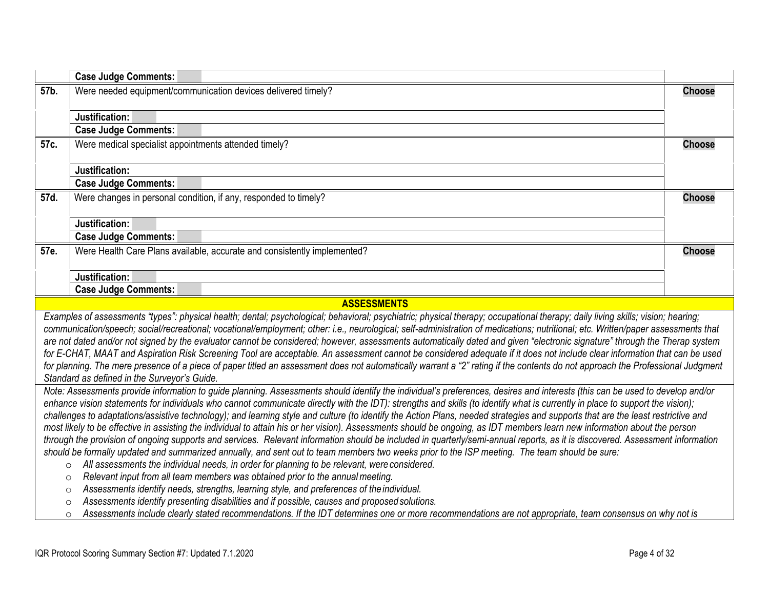<span id="page-3-4"></span><span id="page-3-3"></span><span id="page-3-2"></span><span id="page-3-1"></span><span id="page-3-0"></span>

|      | <b>Case Judge Comments:</b>                                                                                                                                                                                                                                                                                                                                                                                                                                                                                                                                                                                                                                                                                                                                                                                                                                                                                                                                                                                                                                                                                                                                                                                                                                                                                                                                                                                                                                                                  |               |
|------|----------------------------------------------------------------------------------------------------------------------------------------------------------------------------------------------------------------------------------------------------------------------------------------------------------------------------------------------------------------------------------------------------------------------------------------------------------------------------------------------------------------------------------------------------------------------------------------------------------------------------------------------------------------------------------------------------------------------------------------------------------------------------------------------------------------------------------------------------------------------------------------------------------------------------------------------------------------------------------------------------------------------------------------------------------------------------------------------------------------------------------------------------------------------------------------------------------------------------------------------------------------------------------------------------------------------------------------------------------------------------------------------------------------------------------------------------------------------------------------------|---------------|
| 57b. | Were needed equipment/communication devices delivered timely?                                                                                                                                                                                                                                                                                                                                                                                                                                                                                                                                                                                                                                                                                                                                                                                                                                                                                                                                                                                                                                                                                                                                                                                                                                                                                                                                                                                                                                | <b>Choose</b> |
|      | Justification:                                                                                                                                                                                                                                                                                                                                                                                                                                                                                                                                                                                                                                                                                                                                                                                                                                                                                                                                                                                                                                                                                                                                                                                                                                                                                                                                                                                                                                                                               |               |
|      | <b>Case Judge Comments:</b>                                                                                                                                                                                                                                                                                                                                                                                                                                                                                                                                                                                                                                                                                                                                                                                                                                                                                                                                                                                                                                                                                                                                                                                                                                                                                                                                                                                                                                                                  |               |
| 57c. | Were medical specialist appointments attended timely?                                                                                                                                                                                                                                                                                                                                                                                                                                                                                                                                                                                                                                                                                                                                                                                                                                                                                                                                                                                                                                                                                                                                                                                                                                                                                                                                                                                                                                        | <b>Choose</b> |
|      | Justification:                                                                                                                                                                                                                                                                                                                                                                                                                                                                                                                                                                                                                                                                                                                                                                                                                                                                                                                                                                                                                                                                                                                                                                                                                                                                                                                                                                                                                                                                               |               |
|      | <b>Case Judge Comments:</b>                                                                                                                                                                                                                                                                                                                                                                                                                                                                                                                                                                                                                                                                                                                                                                                                                                                                                                                                                                                                                                                                                                                                                                                                                                                                                                                                                                                                                                                                  |               |
| 57d. | Were changes in personal condition, if any, responded to timely?                                                                                                                                                                                                                                                                                                                                                                                                                                                                                                                                                                                                                                                                                                                                                                                                                                                                                                                                                                                                                                                                                                                                                                                                                                                                                                                                                                                                                             | <b>Choose</b> |
|      | Justification:                                                                                                                                                                                                                                                                                                                                                                                                                                                                                                                                                                                                                                                                                                                                                                                                                                                                                                                                                                                                                                                                                                                                                                                                                                                                                                                                                                                                                                                                               |               |
|      | <b>Case Judge Comments:</b>                                                                                                                                                                                                                                                                                                                                                                                                                                                                                                                                                                                                                                                                                                                                                                                                                                                                                                                                                                                                                                                                                                                                                                                                                                                                                                                                                                                                                                                                  |               |
| 57e. | Were Health Care Plans available, accurate and consistently implemented?                                                                                                                                                                                                                                                                                                                                                                                                                                                                                                                                                                                                                                                                                                                                                                                                                                                                                                                                                                                                                                                                                                                                                                                                                                                                                                                                                                                                                     | <b>Choose</b> |
|      | Justification:                                                                                                                                                                                                                                                                                                                                                                                                                                                                                                                                                                                                                                                                                                                                                                                                                                                                                                                                                                                                                                                                                                                                                                                                                                                                                                                                                                                                                                                                               |               |
|      | <b>Case Judge Comments:</b>                                                                                                                                                                                                                                                                                                                                                                                                                                                                                                                                                                                                                                                                                                                                                                                                                                                                                                                                                                                                                                                                                                                                                                                                                                                                                                                                                                                                                                                                  |               |
|      | <b>ASSESSMENTS</b>                                                                                                                                                                                                                                                                                                                                                                                                                                                                                                                                                                                                                                                                                                                                                                                                                                                                                                                                                                                                                                                                                                                                                                                                                                                                                                                                                                                                                                                                           |               |
|      | Examples of assessments "types": physical health; dental; psychological; behavioral; psychiatric; physical therapy; occupational therapy; daily living skills; vision; hearing;<br>communication/speech; social/recreational; vocational/employment; other: i.e., neurological; self-administration of medications; nutritional; etc. Written/paper assessments that<br>are not dated and/or not signed by the evaluator cannot be considered; however, assessments automatically dated and given "electronic signature" through the Therap system<br>for E-CHAT, MAAT and Aspiration Risk Screening Tool are acceptable. An assessment cannot be considered adequate if it does not include clear information that can be used<br>for planning. The mere presence of a piece of paper titled an assessment does not automatically warrant a "2" rating if the contents do not approach the Professional Judgment<br>Standard as defined in the Surveyor's Guide.                                                                                                                                                                                                                                                                                                                                                                                                                                                                                                                            |               |
|      | Note: Assessments provide information to guide planning. Assessments should identify the individual's preferences, desires and interests (this can be used to develop and/or<br>enhance vision statements for individuals who cannot communicate directly with the IDT): strengths and skills (to identify what is currently in place to support the vision);<br>challenges to adaptations/assistive technology); and learning style and culture (to identify the Action Plans, needed strategies and supports that are the least restrictive and<br>most likely to be effective in assisting the individual to attain his or her vision). Assessments should be ongoing, as IDT members learn new information about the person<br>through the provision of ongoing supports and services. Relevant information should be included in quarterly/semi-annual reports, as it is discovered. Assessment information<br>should be formally updated and summarized annually, and sent out to team members two weeks prior to the ISP meeting. The team should be sure:<br>All assessments the individual needs, in order for planning to be relevant, were considered.<br>$\circ$<br>Relevant input from all team members was obtained prior to the annual meeting.<br>$\circ$<br>Assessments identify needs, strengths, learning style, and preferences of the individual.<br>$\circ$<br>Assessments identify presenting disabilities and if possible, causes and proposed solutions.<br>$\circ$ |               |
|      | Assessments include clearly stated recommendations. If the IDT determines one or more recommendations are not appropriate, team consensus on why not is<br>$\circ$                                                                                                                                                                                                                                                                                                                                                                                                                                                                                                                                                                                                                                                                                                                                                                                                                                                                                                                                                                                                                                                                                                                                                                                                                                                                                                                           |               |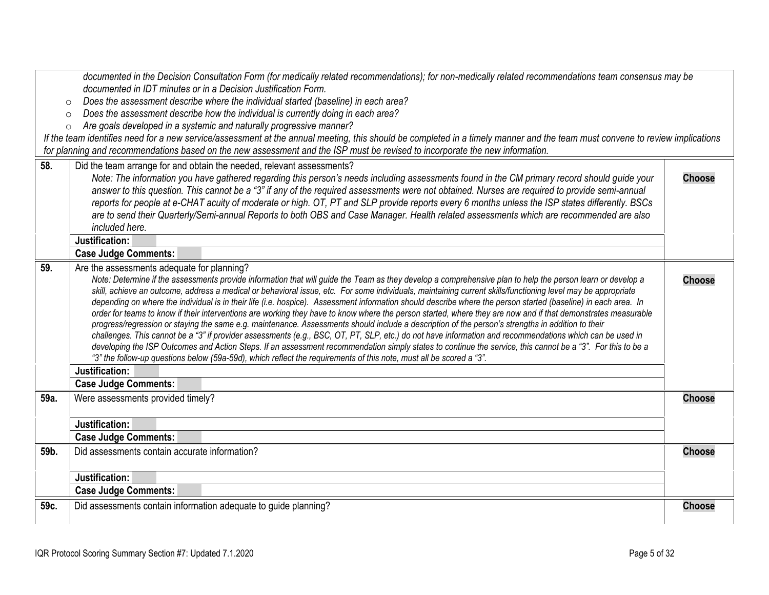<span id="page-4-4"></span><span id="page-4-3"></span><span id="page-4-2"></span><span id="page-4-1"></span><span id="page-4-0"></span>

| documented in the Decision Consultation Form (for medically related recommendations); for non-medically related recommendations team consensus may be |                                                                                                                                                                                                                                                                                                                         |               |
|-------------------------------------------------------------------------------------------------------------------------------------------------------|-------------------------------------------------------------------------------------------------------------------------------------------------------------------------------------------------------------------------------------------------------------------------------------------------------------------------|---------------|
|                                                                                                                                                       | documented in IDT minutes or in a Decision Justification Form.                                                                                                                                                                                                                                                          |               |
|                                                                                                                                                       | Does the assessment describe where the individual started (baseline) in each area?<br>$\circ$                                                                                                                                                                                                                           |               |
|                                                                                                                                                       | Does the assessment describe how the individual is currently doing in each area?<br>$\circ$                                                                                                                                                                                                                             |               |
|                                                                                                                                                       | Are goals developed in a systemic and naturally progressive manner?<br>$\circ$                                                                                                                                                                                                                                          |               |
|                                                                                                                                                       | If the team identifies need for a new service/assessment at the annual meeting, this should be completed in a timely manner and the team must convene to review implications                                                                                                                                            |               |
|                                                                                                                                                       | for planning and recommendations based on the new assessment and the ISP must be revised to incorporate the new information.                                                                                                                                                                                            |               |
| 58.                                                                                                                                                   | Did the team arrange for and obtain the needed, relevant assessments?                                                                                                                                                                                                                                                   |               |
|                                                                                                                                                       | Note: The information you have gathered regarding this person's needs including assessments found in the CM primary record should guide your                                                                                                                                                                            | <b>Choose</b> |
|                                                                                                                                                       | answer to this question. This cannot be a "3" if any of the required assessments were not obtained. Nurses are required to provide semi-annual                                                                                                                                                                          |               |
|                                                                                                                                                       | reports for people at e-CHAT acuity of moderate or high. OT, PT and SLP provide reports every 6 months unless the ISP states differently. BSCs                                                                                                                                                                          |               |
|                                                                                                                                                       | are to send their Quarterly/Semi-annual Reports to both OBS and Case Manager. Health related assessments which are recommended are also                                                                                                                                                                                 |               |
|                                                                                                                                                       | included here.                                                                                                                                                                                                                                                                                                          |               |
|                                                                                                                                                       | Justification:                                                                                                                                                                                                                                                                                                          |               |
|                                                                                                                                                       | <b>Case Judge Comments:</b>                                                                                                                                                                                                                                                                                             |               |
| 59.                                                                                                                                                   | Are the assessments adequate for planning?                                                                                                                                                                                                                                                                              |               |
|                                                                                                                                                       | Note: Determine if the assessments provide information that will guide the Team as they develop a comprehensive plan to help the person learn or develop a                                                                                                                                                              | <b>Choose</b> |
|                                                                                                                                                       | skill, achieve an outcome, address a medical or behavioral issue, etc. For some individuals, maintaining current skills/functioning level may be appropriate                                                                                                                                                            |               |
|                                                                                                                                                       | depending on where the individual is in their life (i.e. hospice). Assessment information should describe where the person started (baseline) in each area. In                                                                                                                                                          |               |
|                                                                                                                                                       | order for teams to know if their interventions are working they have to know where the person started, where they are now and if that demonstrates measurable                                                                                                                                                           |               |
|                                                                                                                                                       | progress/regression or staying the same e.g. maintenance. Assessments should include a description of the person's strengths in addition to their                                                                                                                                                                       |               |
|                                                                                                                                                       | challenges. This cannot be a "3" if provider assessments (e.g., BSC, OT, PT, SLP, etc.) do not have information and recommendations which can be used in<br>developing the ISP Outcomes and Action Steps. If an assessment recommendation simply states to continue the service, this cannot be a "3". For this to be a |               |
|                                                                                                                                                       | "3" the follow-up questions below (59a-59d), which reflect the requirements of this note, must all be scored a "3".                                                                                                                                                                                                     |               |
|                                                                                                                                                       | Justification:                                                                                                                                                                                                                                                                                                          |               |
|                                                                                                                                                       | <b>Case Judge Comments:</b>                                                                                                                                                                                                                                                                                             |               |
| 59a.                                                                                                                                                  | Were assessments provided timely?                                                                                                                                                                                                                                                                                       | <b>Choose</b> |
|                                                                                                                                                       |                                                                                                                                                                                                                                                                                                                         |               |
|                                                                                                                                                       | Justification:                                                                                                                                                                                                                                                                                                          |               |
|                                                                                                                                                       | <b>Case Judge Comments:</b>                                                                                                                                                                                                                                                                                             |               |
| 59b.                                                                                                                                                  | Did assessments contain accurate information?                                                                                                                                                                                                                                                                           | <b>Choose</b> |
|                                                                                                                                                       |                                                                                                                                                                                                                                                                                                                         |               |
|                                                                                                                                                       | Justification:                                                                                                                                                                                                                                                                                                          |               |
|                                                                                                                                                       | <b>Case Judge Comments:</b>                                                                                                                                                                                                                                                                                             |               |
| 59c.                                                                                                                                                  | Did assessments contain information adequate to guide planning?                                                                                                                                                                                                                                                         | <b>Choose</b> |
|                                                                                                                                                       |                                                                                                                                                                                                                                                                                                                         |               |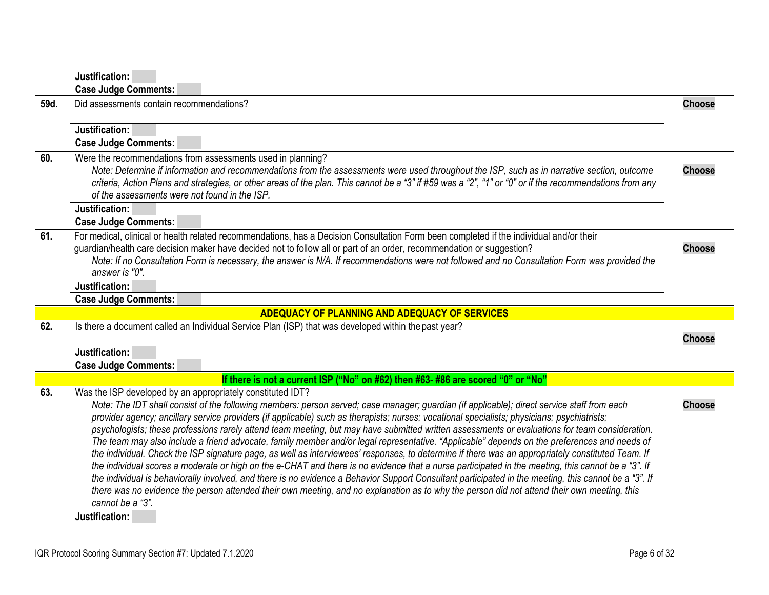<span id="page-5-5"></span><span id="page-5-4"></span><span id="page-5-3"></span><span id="page-5-2"></span><span id="page-5-1"></span><span id="page-5-0"></span>

|      | Justification:                                                                                                                                                                                                                                                                                                                                                                                                                                                                                                                                                                                                                                                                                                                                                                                                                                                                                                                                                                                                                                                                                                                                                                                                                                                                                    |               |
|------|---------------------------------------------------------------------------------------------------------------------------------------------------------------------------------------------------------------------------------------------------------------------------------------------------------------------------------------------------------------------------------------------------------------------------------------------------------------------------------------------------------------------------------------------------------------------------------------------------------------------------------------------------------------------------------------------------------------------------------------------------------------------------------------------------------------------------------------------------------------------------------------------------------------------------------------------------------------------------------------------------------------------------------------------------------------------------------------------------------------------------------------------------------------------------------------------------------------------------------------------------------------------------------------------------|---------------|
|      | <b>Case Judge Comments:</b>                                                                                                                                                                                                                                                                                                                                                                                                                                                                                                                                                                                                                                                                                                                                                                                                                                                                                                                                                                                                                                                                                                                                                                                                                                                                       |               |
| 59d. | Did assessments contain recommendations?                                                                                                                                                                                                                                                                                                                                                                                                                                                                                                                                                                                                                                                                                                                                                                                                                                                                                                                                                                                                                                                                                                                                                                                                                                                          | <b>Choose</b> |
|      | Justification:                                                                                                                                                                                                                                                                                                                                                                                                                                                                                                                                                                                                                                                                                                                                                                                                                                                                                                                                                                                                                                                                                                                                                                                                                                                                                    |               |
|      | <b>Case Judge Comments:</b>                                                                                                                                                                                                                                                                                                                                                                                                                                                                                                                                                                                                                                                                                                                                                                                                                                                                                                                                                                                                                                                                                                                                                                                                                                                                       |               |
| 60.  | Were the recommendations from assessments used in planning?<br>Note: Determine if information and recommendations from the assessments were used throughout the ISP, such as in narrative section, outcome<br>criteria, Action Plans and strategies, or other areas of the plan. This cannot be a "3" if #59 was a "2", "1" or "0" or if the recommendations from any<br>of the assessments were not found in the ISP.                                                                                                                                                                                                                                                                                                                                                                                                                                                                                                                                                                                                                                                                                                                                                                                                                                                                            | <b>Choose</b> |
|      | Justification:                                                                                                                                                                                                                                                                                                                                                                                                                                                                                                                                                                                                                                                                                                                                                                                                                                                                                                                                                                                                                                                                                                                                                                                                                                                                                    |               |
|      | <b>Case Judge Comments:</b>                                                                                                                                                                                                                                                                                                                                                                                                                                                                                                                                                                                                                                                                                                                                                                                                                                                                                                                                                                                                                                                                                                                                                                                                                                                                       |               |
| 61.  | For medical, clinical or health related recommendations, has a Decision Consultation Form been completed if the individual and/or their<br>guardian/health care decision maker have decided not to follow all or part of an order, recommendation or suggestion?<br>Note: If no Consultation Form is necessary, the answer is N/A. If recommendations were not followed and no Consultation Form was provided the<br>answer is "0".                                                                                                                                                                                                                                                                                                                                                                                                                                                                                                                                                                                                                                                                                                                                                                                                                                                               | <b>Choose</b> |
|      | Justification:                                                                                                                                                                                                                                                                                                                                                                                                                                                                                                                                                                                                                                                                                                                                                                                                                                                                                                                                                                                                                                                                                                                                                                                                                                                                                    |               |
|      | <b>Case Judge Comments:</b>                                                                                                                                                                                                                                                                                                                                                                                                                                                                                                                                                                                                                                                                                                                                                                                                                                                                                                                                                                                                                                                                                                                                                                                                                                                                       |               |
|      | ADEQUACY OF PLANNING AND ADEQUACY OF SERVICES                                                                                                                                                                                                                                                                                                                                                                                                                                                                                                                                                                                                                                                                                                                                                                                                                                                                                                                                                                                                                                                                                                                                                                                                                                                     |               |
| 62.  | Is there a document called an Individual Service Plan (ISP) that was developed within the past year?                                                                                                                                                                                                                                                                                                                                                                                                                                                                                                                                                                                                                                                                                                                                                                                                                                                                                                                                                                                                                                                                                                                                                                                              | <b>Choose</b> |
|      | Justification:                                                                                                                                                                                                                                                                                                                                                                                                                                                                                                                                                                                                                                                                                                                                                                                                                                                                                                                                                                                                                                                                                                                                                                                                                                                                                    |               |
|      | <b>Case Judge Comments:</b>                                                                                                                                                                                                                                                                                                                                                                                                                                                                                                                                                                                                                                                                                                                                                                                                                                                                                                                                                                                                                                                                                                                                                                                                                                                                       |               |
|      | If there is not a current ISP ("No" on #62) then #63- #86 are scored "0" or "No"                                                                                                                                                                                                                                                                                                                                                                                                                                                                                                                                                                                                                                                                                                                                                                                                                                                                                                                                                                                                                                                                                                                                                                                                                  |               |
| 63.  | Was the ISP developed by an appropriately constituted IDT?<br>Note: The IDT shall consist of the following members: person served; case manager; guardian (if applicable); direct service staff from each<br>provider agency; ancillary service providers (if applicable) such as therapists; nurses; vocational specialists; physicians; psychiatrists;<br>psychologists; these professions rarely attend team meeting, but may have submitted written assessments or evaluations for team consideration.<br>The team may also include a friend advocate, family member and/or legal representative. "Applicable" depends on the preferences and needs of<br>the individual. Check the ISP signature page, as well as interviewees' responses, to determine if there was an appropriately constituted Team. If<br>the individual scores a moderate or high on the e-CHAT and there is no evidence that a nurse participated in the meeting, this cannot be a "3". If<br>the individual is behaviorally involved, and there is no evidence a Behavior Support Consultant participated in the meeting, this cannot be a "3". If<br>there was no evidence the person attended their own meeting, and no explanation as to why the person did not attend their own meeting, this<br>cannot be a "3". | <b>Choose</b> |
|      | Justification:                                                                                                                                                                                                                                                                                                                                                                                                                                                                                                                                                                                                                                                                                                                                                                                                                                                                                                                                                                                                                                                                                                                                                                                                                                                                                    |               |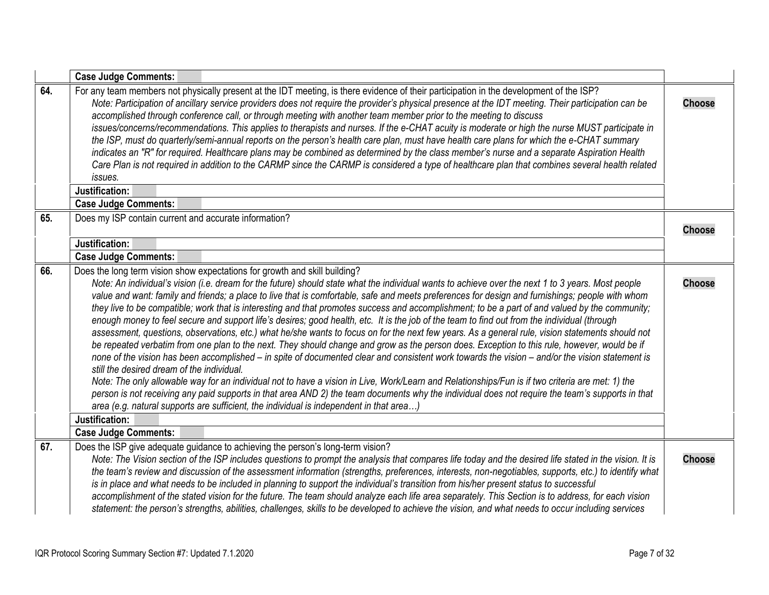<span id="page-6-3"></span><span id="page-6-2"></span><span id="page-6-1"></span><span id="page-6-0"></span>

|     | <b>Case Judge Comments:</b>                                                                                                                                                                                                                                                                                                                                                                                                                                                                                                                                                                                                                                                                                                                                                                                                                                                                                                                                                                                                                                                                                                                                                                                                                                                                                                                                                                                                                                                                                                                                                                     |               |
|-----|-------------------------------------------------------------------------------------------------------------------------------------------------------------------------------------------------------------------------------------------------------------------------------------------------------------------------------------------------------------------------------------------------------------------------------------------------------------------------------------------------------------------------------------------------------------------------------------------------------------------------------------------------------------------------------------------------------------------------------------------------------------------------------------------------------------------------------------------------------------------------------------------------------------------------------------------------------------------------------------------------------------------------------------------------------------------------------------------------------------------------------------------------------------------------------------------------------------------------------------------------------------------------------------------------------------------------------------------------------------------------------------------------------------------------------------------------------------------------------------------------------------------------------------------------------------------------------------------------|---------------|
| 64. | For any team members not physically present at the IDT meeting, is there evidence of their participation in the development of the ISP?<br>Note: Participation of ancillary service providers does not require the provider's physical presence at the IDT meeting. Their participation can be<br>accomplished through conference call, or through meeting with another team member prior to the meeting to discuss<br>issues/concerns/recommendations. This applies to therapists and nurses. If the e-CHAT acuity is moderate or high the nurse MUST participate in<br>the ISP, must do quarterly/semi-annual reports on the person's health care plan, must have health care plans for which the e-CHAT summary<br>indicates an "R" for required. Healthcare plans may be combined as determined by the class member's nurse and a separate Aspiration Health<br>Care Plan is not required in addition to the CARMP since the CARMP is considered a type of healthcare plan that combines several health related<br>issues.<br>Justification:<br><b>Case Judge Comments:</b>                                                                                                                                                                                                                                                                                                                                                                                                                                                                                                                 | <b>Choose</b> |
| 65. | Does my ISP contain current and accurate information?                                                                                                                                                                                                                                                                                                                                                                                                                                                                                                                                                                                                                                                                                                                                                                                                                                                                                                                                                                                                                                                                                                                                                                                                                                                                                                                                                                                                                                                                                                                                           |               |
|     |                                                                                                                                                                                                                                                                                                                                                                                                                                                                                                                                                                                                                                                                                                                                                                                                                                                                                                                                                                                                                                                                                                                                                                                                                                                                                                                                                                                                                                                                                                                                                                                                 | <b>Choose</b> |
|     | Justification:                                                                                                                                                                                                                                                                                                                                                                                                                                                                                                                                                                                                                                                                                                                                                                                                                                                                                                                                                                                                                                                                                                                                                                                                                                                                                                                                                                                                                                                                                                                                                                                  |               |
|     | <b>Case Judge Comments:</b>                                                                                                                                                                                                                                                                                                                                                                                                                                                                                                                                                                                                                                                                                                                                                                                                                                                                                                                                                                                                                                                                                                                                                                                                                                                                                                                                                                                                                                                                                                                                                                     |               |
| 66. | Does the long term vision show expectations for growth and skill building?<br>Note: An individual's vision (i.e. dream for the future) should state what the individual wants to achieve over the next 1 to 3 years. Most people<br>value and want: family and friends; a place to live that is comfortable, safe and meets preferences for design and furnishings; people with whom<br>they live to be compatible; work that is interesting and that promotes success and accomplishment; to be a part of and valued by the community;<br>enough money to feel secure and support life's desires; good health, etc. It is the job of the team to find out from the individual (through<br>assessment, questions, observations, etc.) what he/she wants to focus on for the next few years. As a general rule, vision statements should not<br>be repeated verbatim from one plan to the next. They should change and grow as the person does. Exception to this rule, however, would be if<br>none of the vision has been accomplished – in spite of documented clear and consistent work towards the vision – and/or the vision statement is<br>still the desired dream of the individual.<br>Note: The only allowable way for an individual not to have a vision in Live, Work/Learn and Relationships/Fun is if two criteria are met: 1) the<br>person is not receiving any paid supports in that area AND 2) the team documents why the individual does not require the team's supports in that<br>area (e.g. natural supports are sufficient, the individual is independent in that area) | <b>Choose</b> |
|     | Justification:<br><b>Case Judge Comments:</b>                                                                                                                                                                                                                                                                                                                                                                                                                                                                                                                                                                                                                                                                                                                                                                                                                                                                                                                                                                                                                                                                                                                                                                                                                                                                                                                                                                                                                                                                                                                                                   |               |
| 67. | Does the ISP give adequate guidance to achieving the person's long-term vision?<br>Note: The Vision section of the ISP includes questions to prompt the analysis that compares life today and the desired life stated in the vision. It is<br>the team's review and discussion of the assessment information (strengths, preferences, interests, non-negotiables, supports, etc.) to identify what<br>is in place and what needs to be included in planning to support the individual's transition from his/her present status to successful<br>accomplishment of the stated vision for the future. The team should analyze each life area separately. This Section is to address, for each vision<br>statement: the person's strengths, abilities, challenges, skills to be developed to achieve the vision, and what needs to occur including services                                                                                                                                                                                                                                                                                                                                                                                                                                                                                                                                                                                                                                                                                                                                        | <b>Choose</b> |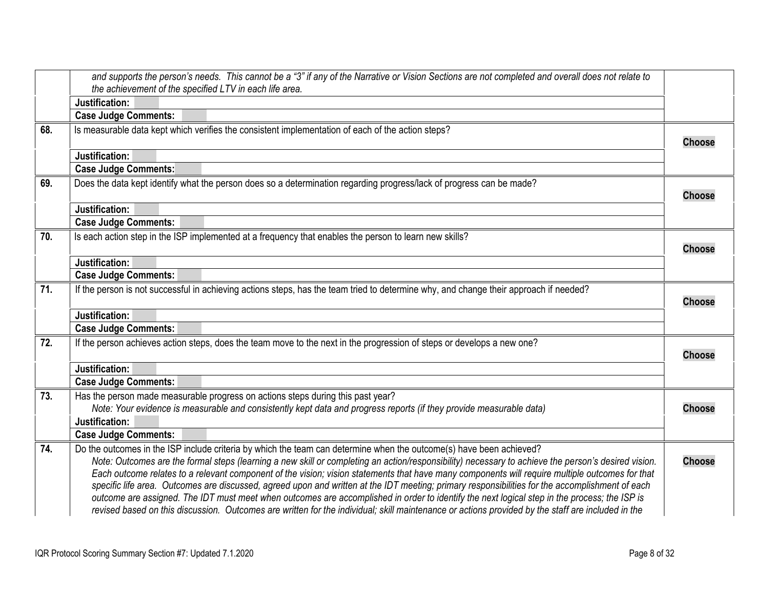<span id="page-7-6"></span><span id="page-7-5"></span><span id="page-7-4"></span><span id="page-7-3"></span><span id="page-7-2"></span><span id="page-7-1"></span><span id="page-7-0"></span>

| and supports the person's needs. This cannot be a "3" if any of the Narrative or Vision Sections are not completed and overall does not relate to                                                                                                                                                                                                                                                                                                                                                                                                                                                                                                                                                                                                                                                                                                                                     |                                                                                                                                                                                                                                                                                                                                                                                                                                                                          |
|---------------------------------------------------------------------------------------------------------------------------------------------------------------------------------------------------------------------------------------------------------------------------------------------------------------------------------------------------------------------------------------------------------------------------------------------------------------------------------------------------------------------------------------------------------------------------------------------------------------------------------------------------------------------------------------------------------------------------------------------------------------------------------------------------------------------------------------------------------------------------------------|--------------------------------------------------------------------------------------------------------------------------------------------------------------------------------------------------------------------------------------------------------------------------------------------------------------------------------------------------------------------------------------------------------------------------------------------------------------------------|
|                                                                                                                                                                                                                                                                                                                                                                                                                                                                                                                                                                                                                                                                                                                                                                                                                                                                                       |                                                                                                                                                                                                                                                                                                                                                                                                                                                                          |
|                                                                                                                                                                                                                                                                                                                                                                                                                                                                                                                                                                                                                                                                                                                                                                                                                                                                                       |                                                                                                                                                                                                                                                                                                                                                                                                                                                                          |
|                                                                                                                                                                                                                                                                                                                                                                                                                                                                                                                                                                                                                                                                                                                                                                                                                                                                                       |                                                                                                                                                                                                                                                                                                                                                                                                                                                                          |
|                                                                                                                                                                                                                                                                                                                                                                                                                                                                                                                                                                                                                                                                                                                                                                                                                                                                                       | <b>Choose</b>                                                                                                                                                                                                                                                                                                                                                                                                                                                            |
| Justification:                                                                                                                                                                                                                                                                                                                                                                                                                                                                                                                                                                                                                                                                                                                                                                                                                                                                        |                                                                                                                                                                                                                                                                                                                                                                                                                                                                          |
| <b>Case Judge Comments:</b>                                                                                                                                                                                                                                                                                                                                                                                                                                                                                                                                                                                                                                                                                                                                                                                                                                                           |                                                                                                                                                                                                                                                                                                                                                                                                                                                                          |
| Does the data kept identify what the person does so a determination regarding progress/lack of progress can be made?                                                                                                                                                                                                                                                                                                                                                                                                                                                                                                                                                                                                                                                                                                                                                                  | <b>Choose</b>                                                                                                                                                                                                                                                                                                                                                                                                                                                            |
| Justification:                                                                                                                                                                                                                                                                                                                                                                                                                                                                                                                                                                                                                                                                                                                                                                                                                                                                        |                                                                                                                                                                                                                                                                                                                                                                                                                                                                          |
| <b>Case Judge Comments:</b>                                                                                                                                                                                                                                                                                                                                                                                                                                                                                                                                                                                                                                                                                                                                                                                                                                                           |                                                                                                                                                                                                                                                                                                                                                                                                                                                                          |
| Is each action step in the ISP implemented at a frequency that enables the person to learn new skills?                                                                                                                                                                                                                                                                                                                                                                                                                                                                                                                                                                                                                                                                                                                                                                                | <b>Choose</b>                                                                                                                                                                                                                                                                                                                                                                                                                                                            |
|                                                                                                                                                                                                                                                                                                                                                                                                                                                                                                                                                                                                                                                                                                                                                                                                                                                                                       |                                                                                                                                                                                                                                                                                                                                                                                                                                                                          |
|                                                                                                                                                                                                                                                                                                                                                                                                                                                                                                                                                                                                                                                                                                                                                                                                                                                                                       |                                                                                                                                                                                                                                                                                                                                                                                                                                                                          |
| If the person is not successful in achieving actions steps, has the team tried to determine why, and change their approach if needed?                                                                                                                                                                                                                                                                                                                                                                                                                                                                                                                                                                                                                                                                                                                                                 | <b>Choose</b>                                                                                                                                                                                                                                                                                                                                                                                                                                                            |
|                                                                                                                                                                                                                                                                                                                                                                                                                                                                                                                                                                                                                                                                                                                                                                                                                                                                                       |                                                                                                                                                                                                                                                                                                                                                                                                                                                                          |
|                                                                                                                                                                                                                                                                                                                                                                                                                                                                                                                                                                                                                                                                                                                                                                                                                                                                                       |                                                                                                                                                                                                                                                                                                                                                                                                                                                                          |
|                                                                                                                                                                                                                                                                                                                                                                                                                                                                                                                                                                                                                                                                                                                                                                                                                                                                                       | <b>Choose</b>                                                                                                                                                                                                                                                                                                                                                                                                                                                            |
| Justification:                                                                                                                                                                                                                                                                                                                                                                                                                                                                                                                                                                                                                                                                                                                                                                                                                                                                        |                                                                                                                                                                                                                                                                                                                                                                                                                                                                          |
| <b>Case Judge Comments:</b>                                                                                                                                                                                                                                                                                                                                                                                                                                                                                                                                                                                                                                                                                                                                                                                                                                                           |                                                                                                                                                                                                                                                                                                                                                                                                                                                                          |
| Has the person made measurable progress on actions steps during this past year?                                                                                                                                                                                                                                                                                                                                                                                                                                                                                                                                                                                                                                                                                                                                                                                                       |                                                                                                                                                                                                                                                                                                                                                                                                                                                                          |
| Note: Your evidence is measurable and consistently kept data and progress reports (if they provide measurable data)                                                                                                                                                                                                                                                                                                                                                                                                                                                                                                                                                                                                                                                                                                                                                                   | <b>Choose</b>                                                                                                                                                                                                                                                                                                                                                                                                                                                            |
| Justification:                                                                                                                                                                                                                                                                                                                                                                                                                                                                                                                                                                                                                                                                                                                                                                                                                                                                        |                                                                                                                                                                                                                                                                                                                                                                                                                                                                          |
|                                                                                                                                                                                                                                                                                                                                                                                                                                                                                                                                                                                                                                                                                                                                                                                                                                                                                       |                                                                                                                                                                                                                                                                                                                                                                                                                                                                          |
| Do the outcomes in the ISP include criteria by which the team can determine when the outcome(s) have been achieved?<br>Note: Outcomes are the formal steps (learning a new skill or completing an action/responsibility) necessary to achieve the person's desired vision.<br>Each outcome relates to a relevant component of the vision; vision statements that have many components will require multiple outcomes for that<br>specific life area. Outcomes are discussed, agreed upon and written at the IDT meeting; primary responsibilities for the accomplishment of each<br>outcome are assigned. The IDT must meet when outcomes are accomplished in order to identify the next logical step in the process; the ISP is<br>revised based on this discussion. Outcomes are written for the individual; skill maintenance or actions provided by the staff are included in the | <b>Choose</b>                                                                                                                                                                                                                                                                                                                                                                                                                                                            |
|                                                                                                                                                                                                                                                                                                                                                                                                                                                                                                                                                                                                                                                                                                                                                                                                                                                                                       | the achievement of the specified LTV in each life area.<br>Justification:<br><b>Case Judge Comments:</b><br>Is measurable data kept which verifies the consistent implementation of each of the action steps?<br>Justification:<br><b>Case Judge Comments:</b><br>Justification:<br><b>Case Judge Comments:</b><br>If the person achieves action steps, does the team move to the next in the progression of steps or develops a new one?<br><b>Case Judge Comments:</b> |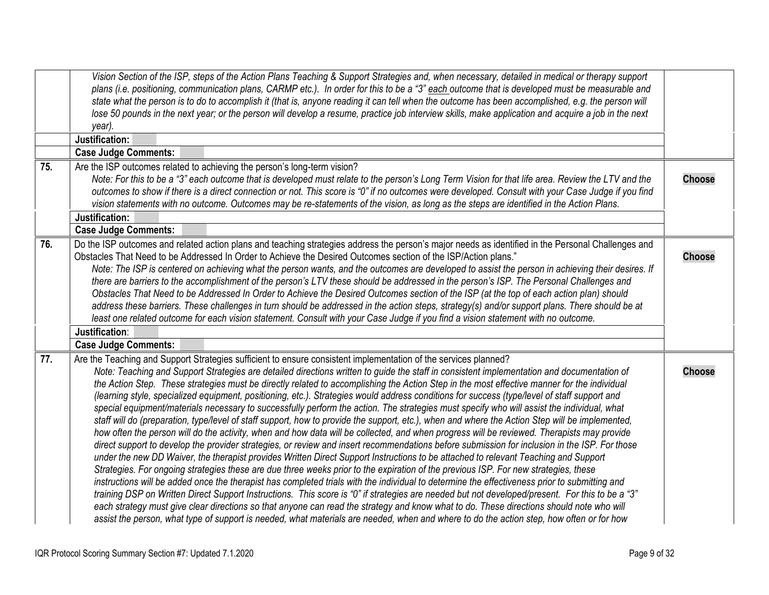<span id="page-8-2"></span><span id="page-8-1"></span><span id="page-8-0"></span>

|     | Vision Section of the ISP, steps of the Action Plans Teaching & Support Strategies and, when necessary, detailed in medical or therapy support<br>plans (i.e. positioning, communication plans, CARMP etc.). In order for this to be a "3" each outcome that is developed must be measurable and<br>state what the person is to do to accomplish it (that is, anyone reading it can tell when the outcome has been accomplished, e.g. the person will<br>lose 50 pounds in the next year; or the person will develop a resume, practice job interview skills, make application and acquire a job in the next<br>year).<br>Justification:                                                                                                                                                                                                                                                                                                                                                                                                                                                                                                                                                                                                                                                                                                                                                                                                                                                                                                                                                                                                                                                                                                                                                                                                                                                                                                                                                                                               |               |
|-----|----------------------------------------------------------------------------------------------------------------------------------------------------------------------------------------------------------------------------------------------------------------------------------------------------------------------------------------------------------------------------------------------------------------------------------------------------------------------------------------------------------------------------------------------------------------------------------------------------------------------------------------------------------------------------------------------------------------------------------------------------------------------------------------------------------------------------------------------------------------------------------------------------------------------------------------------------------------------------------------------------------------------------------------------------------------------------------------------------------------------------------------------------------------------------------------------------------------------------------------------------------------------------------------------------------------------------------------------------------------------------------------------------------------------------------------------------------------------------------------------------------------------------------------------------------------------------------------------------------------------------------------------------------------------------------------------------------------------------------------------------------------------------------------------------------------------------------------------------------------------------------------------------------------------------------------------------------------------------------------------------------------------------------------|---------------|
|     | <b>Case Judge Comments:</b>                                                                                                                                                                                                                                                                                                                                                                                                                                                                                                                                                                                                                                                                                                                                                                                                                                                                                                                                                                                                                                                                                                                                                                                                                                                                                                                                                                                                                                                                                                                                                                                                                                                                                                                                                                                                                                                                                                                                                                                                            |               |
| 75. | Are the ISP outcomes related to achieving the person's long-term vision?<br>Note: For this to be a "3" each outcome that is developed must relate to the person's Long Term Vision for that life area. Review the LTV and the<br>outcomes to show if there is a direct connection or not. This score is "0" if no outcomes were developed. Consult with your Case Judge if you find<br>vision statements with no outcome. Outcomes may be re-statements of the vision, as long as the steps are identified in the Action Plans.                                                                                                                                                                                                                                                                                                                                                                                                                                                                                                                                                                                                                                                                                                                                                                                                                                                                                                                                                                                                                                                                                                                                                                                                                                                                                                                                                                                                                                                                                                        | <b>Choose</b> |
|     | Justification:                                                                                                                                                                                                                                                                                                                                                                                                                                                                                                                                                                                                                                                                                                                                                                                                                                                                                                                                                                                                                                                                                                                                                                                                                                                                                                                                                                                                                                                                                                                                                                                                                                                                                                                                                                                                                                                                                                                                                                                                                         |               |
|     | <b>Case Judge Comments:</b>                                                                                                                                                                                                                                                                                                                                                                                                                                                                                                                                                                                                                                                                                                                                                                                                                                                                                                                                                                                                                                                                                                                                                                                                                                                                                                                                                                                                                                                                                                                                                                                                                                                                                                                                                                                                                                                                                                                                                                                                            |               |
| 76. | Do the ISP outcomes and related action plans and teaching strategies address the person's major needs as identified in the Personal Challenges and<br>Obstacles That Need to be Addressed In Order to Achieve the Desired Outcomes section of the ISP/Action plans."<br>Note: The ISP is centered on achieving what the person wants, and the outcomes are developed to assist the person in achieving their desires. If<br>there are barriers to the accomplishment of the person's LTV these should be addressed in the person's ISP. The Personal Challenges and<br>Obstacles That Need to be Addressed In Order to Achieve the Desired Outcomes section of the ISP (at the top of each action plan) should<br>address these barriers. These challenges in turn should be addressed in the action steps, strategy(s) and/or support plans. There should be at<br>least one related outcome for each vision statement. Consult with your Case Judge if you find a vision statement with no outcome.<br>Justification:                                                                                                                                                                                                                                                                                                                                                                                                                                                                                                                                                                                                                                                                                                                                                                                                                                                                                                                                                                                                                | <b>Choose</b> |
|     | <b>Case Judge Comments:</b>                                                                                                                                                                                                                                                                                                                                                                                                                                                                                                                                                                                                                                                                                                                                                                                                                                                                                                                                                                                                                                                                                                                                                                                                                                                                                                                                                                                                                                                                                                                                                                                                                                                                                                                                                                                                                                                                                                                                                                                                            |               |
| 77. | Are the Teaching and Support Strategies sufficient to ensure consistent implementation of the services planned?<br>Note: Teaching and Support Strategies are detailed directions written to guide the staff in consistent implementation and documentation of<br>the Action Step. These strategies must be directly related to accomplishing the Action Step in the most effective manner for the individual<br>(learning style, specialized equipment, positioning, etc.). Strategies would address conditions for success (type/level of staff support and<br>special equipment/materials necessary to successfully perform the action. The strategies must specify who will assist the individual, what<br>staff will do (preparation, type/level of staff support, how to provide the support, etc.), when and where the Action Step will be implemented,<br>how often the person will do the activity, when and how data will be collected, and when progress will be reviewed. Therapists may provide<br>direct support to develop the provider strategies, or review and insert recommendations before submission for inclusion in the ISP. For those<br>under the new DD Waiver, the therapist provides Written Direct Support Instructions to be attached to relevant Teaching and Support<br>Strategies. For ongoing strategies these are due three weeks prior to the expiration of the previous ISP. For new strategies, these<br>instructions will be added once the therapist has completed trials with the individual to determine the effectiveness prior to submitting and<br>training DSP on Written Direct Support Instructions. This score is "0" if strategies are needed but not developed/present. For this to be a "3"<br>each strategy must give clear directions so that anyone can read the strategy and know what to do. These directions should note who will<br>assist the person, what type of support is needed, what materials are needed, when and where to do the action step, how often or for how | <b>Choose</b> |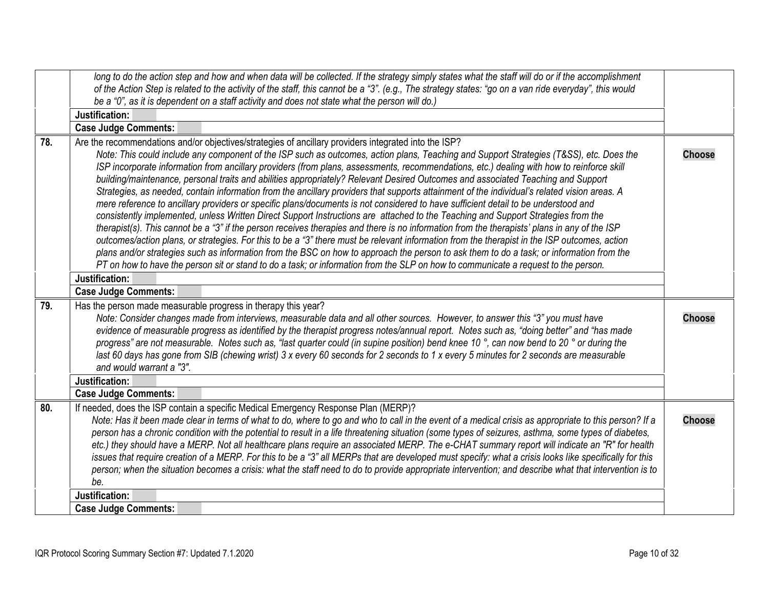<span id="page-9-2"></span><span id="page-9-1"></span><span id="page-9-0"></span>

|     | long to do the action step and how and when data will be collected. If the strategy simply states what the staff will do or if the accomplishment<br>of the Action Step is related to the activity of the staff, this cannot be a "3". (e.g., The strategy states: "go on a van ride everyday", this would                                                                                                                                                                                                                                                                                                                                                                                                                                                                                                                                                                                                                                                                                                                                                                                                                                                                                                                                                                                                                                                                                                                                                                                                                                    |               |
|-----|-----------------------------------------------------------------------------------------------------------------------------------------------------------------------------------------------------------------------------------------------------------------------------------------------------------------------------------------------------------------------------------------------------------------------------------------------------------------------------------------------------------------------------------------------------------------------------------------------------------------------------------------------------------------------------------------------------------------------------------------------------------------------------------------------------------------------------------------------------------------------------------------------------------------------------------------------------------------------------------------------------------------------------------------------------------------------------------------------------------------------------------------------------------------------------------------------------------------------------------------------------------------------------------------------------------------------------------------------------------------------------------------------------------------------------------------------------------------------------------------------------------------------------------------------|---------------|
|     | be a "0", as it is dependent on a staff activity and does not state what the person will do.)                                                                                                                                                                                                                                                                                                                                                                                                                                                                                                                                                                                                                                                                                                                                                                                                                                                                                                                                                                                                                                                                                                                                                                                                                                                                                                                                                                                                                                                 |               |
|     | Justification:                                                                                                                                                                                                                                                                                                                                                                                                                                                                                                                                                                                                                                                                                                                                                                                                                                                                                                                                                                                                                                                                                                                                                                                                                                                                                                                                                                                                                                                                                                                                |               |
|     | <b>Case Judge Comments:</b>                                                                                                                                                                                                                                                                                                                                                                                                                                                                                                                                                                                                                                                                                                                                                                                                                                                                                                                                                                                                                                                                                                                                                                                                                                                                                                                                                                                                                                                                                                                   |               |
| 78. | Are the recommendations and/or objectives/strategies of ancillary providers integrated into the ISP?<br>Note: This could include any component of the ISP such as outcomes, action plans, Teaching and Support Strategies (T&SS), etc. Does the<br>ISP incorporate information from ancillary providers (from plans, assessments, recommendations, etc.) dealing with how to reinforce skill<br>building/maintenance, personal traits and abilities appropriately? Relevant Desired Outcomes and associated Teaching and Support<br>Strategies, as needed, contain information from the ancillary providers that supports attainment of the individual's related vision areas. A<br>mere reference to ancillary providers or specific plans/documents is not considered to have sufficient detail to be understood and<br>consistently implemented, unless Written Direct Support Instructions are attached to the Teaching and Support Strategies from the<br>therapist(s). This cannot be a "3" if the person receives therapies and there is no information from the therapists' plans in any of the ISP<br>outcomes/action plans, or strategies. For this to be a "3" there must be relevant information from the therapist in the ISP outcomes, action<br>plans and/or strategies such as information from the BSC on how to approach the person to ask them to do a task; or information from the<br>PT on how to have the person sit or stand to do a task; or information from the SLP on how to communicate a request to the person. | <b>Choose</b> |
|     | Justification:                                                                                                                                                                                                                                                                                                                                                                                                                                                                                                                                                                                                                                                                                                                                                                                                                                                                                                                                                                                                                                                                                                                                                                                                                                                                                                                                                                                                                                                                                                                                |               |
|     | <b>Case Judge Comments:</b>                                                                                                                                                                                                                                                                                                                                                                                                                                                                                                                                                                                                                                                                                                                                                                                                                                                                                                                                                                                                                                                                                                                                                                                                                                                                                                                                                                                                                                                                                                                   |               |
| 79. | Has the person made measurable progress in therapy this year?<br>Note: Consider changes made from interviews, measurable data and all other sources. However, to answer this "3" you must have<br>evidence of measurable progress as identified by the therapist progress notes/annual report. Notes such as, "doing better" and "has made<br>progress" are not measurable. Notes such as, "last quarter could (in supine position) bend knee 10 °, can now bend to 20 ° or during the<br>last 60 days has gone from SIB (chewing wrist) 3 x every 60 seconds for 2 seconds to 1 x every 5 minutes for 2 seconds are measurable<br>and would warrant a "3".                                                                                                                                                                                                                                                                                                                                                                                                                                                                                                                                                                                                                                                                                                                                                                                                                                                                                   | <b>Choose</b> |
|     | Justification:                                                                                                                                                                                                                                                                                                                                                                                                                                                                                                                                                                                                                                                                                                                                                                                                                                                                                                                                                                                                                                                                                                                                                                                                                                                                                                                                                                                                                                                                                                                                |               |
|     | <b>Case Judge Comments:</b>                                                                                                                                                                                                                                                                                                                                                                                                                                                                                                                                                                                                                                                                                                                                                                                                                                                                                                                                                                                                                                                                                                                                                                                                                                                                                                                                                                                                                                                                                                                   |               |
| 80. | If needed, does the ISP contain a specific Medical Emergency Response Plan (MERP)?<br>Note: Has it been made clear in terms of what to do, where to go and who to call in the event of a medical crisis as appropriate to this person? If a<br>person has a chronic condition with the potential to result in a life threatening situation (some types of seizures, asthma, some types of diabetes,<br>etc.) they should have a MERP. Not all healthcare plans require an associated MERP. The e-CHAT summary report will indicate an "R" for health<br>issues that require creation of a MERP. For this to be a "3" all MERPs that are developed must specify: what a crisis looks like specifically for this<br>person; when the situation becomes a crisis: what the staff need to do to provide appropriate intervention; and describe what that intervention is to<br>be.                                                                                                                                                                                                                                                                                                                                                                                                                                                                                                                                                                                                                                                                | <b>Choose</b> |
|     | Justification:                                                                                                                                                                                                                                                                                                                                                                                                                                                                                                                                                                                                                                                                                                                                                                                                                                                                                                                                                                                                                                                                                                                                                                                                                                                                                                                                                                                                                                                                                                                                |               |
|     | <b>Case Judge Comments:</b>                                                                                                                                                                                                                                                                                                                                                                                                                                                                                                                                                                                                                                                                                                                                                                                                                                                                                                                                                                                                                                                                                                                                                                                                                                                                                                                                                                                                                                                                                                                   |               |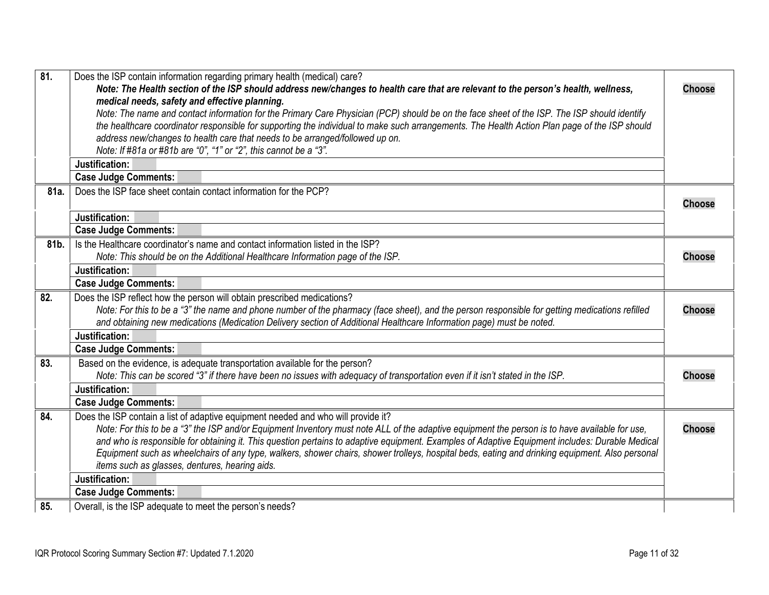<span id="page-10-5"></span><span id="page-10-4"></span><span id="page-10-3"></span><span id="page-10-2"></span><span id="page-10-1"></span><span id="page-10-0"></span>

| $\overline{81}$ | Does the ISP contain information regarding primary health (medical) care?<br>Note: The Health section of the ISP should address new/changes to health care that are relevant to the person's health, wellness, | <b>Choose</b> |
|-----------------|----------------------------------------------------------------------------------------------------------------------------------------------------------------------------------------------------------------|---------------|
|                 | medical needs, safety and effective planning.                                                                                                                                                                  |               |
|                 | Note: The name and contact information for the Primary Care Physician (PCP) should be on the face sheet of the ISP. The ISP should identify                                                                    |               |
|                 | the healthcare coordinator responsible for supporting the individual to make such arrangements. The Health Action Plan page of the ISP should                                                                  |               |
|                 | address new/changes to health care that needs to be arranged/followed up on.                                                                                                                                   |               |
|                 | Note: If #81a or #81b are "0", "1" or "2", this cannot be a "3".                                                                                                                                               |               |
|                 | Justification:                                                                                                                                                                                                 |               |
|                 | <b>Case Judge Comments:</b>                                                                                                                                                                                    |               |
| 81a.            | Does the ISP face sheet contain contact information for the PCP?                                                                                                                                               |               |
|                 |                                                                                                                                                                                                                | <b>Choose</b> |
|                 | Justification:                                                                                                                                                                                                 |               |
|                 | <b>Case Judge Comments:</b>                                                                                                                                                                                    |               |
| 81b.            | Is the Healthcare coordinator's name and contact information listed in the ISP?                                                                                                                                |               |
|                 | Note: This should be on the Additional Healthcare Information page of the ISP.                                                                                                                                 | <b>Choose</b> |
|                 | Justification:                                                                                                                                                                                                 |               |
|                 | <b>Case Judge Comments:</b>                                                                                                                                                                                    |               |
| 82.             | Does the ISP reflect how the person will obtain prescribed medications?                                                                                                                                        |               |
|                 | Note: For this to be a "3" the name and phone number of the pharmacy (face sheet), and the person responsible for getting medications refilled                                                                 | <b>Choose</b> |
|                 | and obtaining new medications (Medication Delivery section of Additional Healthcare Information page) must be noted.                                                                                           |               |
|                 | Justification:                                                                                                                                                                                                 |               |
|                 | <b>Case Judge Comments:</b>                                                                                                                                                                                    |               |
| 83.             | Based on the evidence, is adequate transportation available for the person?                                                                                                                                    |               |
|                 | Note: This can be scored "3" if there have been no issues with adequacy of transportation even if it isn't stated in the ISP.                                                                                  | <b>Choose</b> |
|                 | Justification:                                                                                                                                                                                                 |               |
|                 | <b>Case Judge Comments:</b>                                                                                                                                                                                    |               |
| 84.             | Does the ISP contain a list of adaptive equipment needed and who will provide it?                                                                                                                              |               |
|                 | Note: For this to be a "3" the ISP and/or Equipment Inventory must note ALL of the adaptive equipment the person is to have available for use,                                                                 | <b>Choose</b> |
|                 | and who is responsible for obtaining it. This question pertains to adaptive equipment. Examples of Adaptive Equipment includes: Durable Medical                                                                |               |
|                 | Equipment such as wheelchairs of any type, walkers, shower chairs, shower trolleys, hospital beds, eating and drinking equipment. Also personal                                                                |               |
|                 | items such as glasses, dentures, hearing aids.                                                                                                                                                                 |               |
|                 | Justification:                                                                                                                                                                                                 |               |
|                 | <b>Case Judge Comments:</b>                                                                                                                                                                                    |               |
| 85.             | Overall, is the ISP adequate to meet the person's needs?                                                                                                                                                       |               |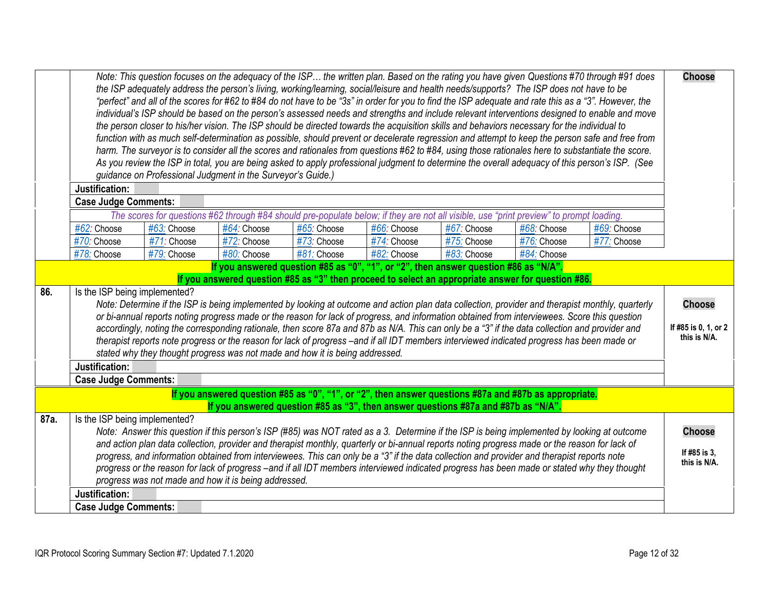<span id="page-11-2"></span><span id="page-11-1"></span><span id="page-11-0"></span>

|                                                                                                                                                                                                                                                                                                                                                                                                                                                                                                                                                                                                                                                                                                                    |                                  |                                                                                             |             |                                                                                                                     |             | "perfect" and all of the scores for #62 to #84 do not have to be "3s" in order for you to find the ISP adequate and rate this as a "3". However, the | individual's ISP should be based on the person's assessed needs and strengths and include relevant interventions designed to enable and move                               |                                                                                                                                                                                                                                                                                                                                                                                                                                                                                                                                                                                                                                                                                                                                                                                                                                                                                                                                                                                                                                                                                                                                                                                                                                                                                                                                                                                                                                                                                                                                                                  |
|--------------------------------------------------------------------------------------------------------------------------------------------------------------------------------------------------------------------------------------------------------------------------------------------------------------------------------------------------------------------------------------------------------------------------------------------------------------------------------------------------------------------------------------------------------------------------------------------------------------------------------------------------------------------------------------------------------------------|----------------------------------|---------------------------------------------------------------------------------------------|-------------|---------------------------------------------------------------------------------------------------------------------|-------------|------------------------------------------------------------------------------------------------------------------------------------------------------|----------------------------------------------------------------------------------------------------------------------------------------------------------------------------|------------------------------------------------------------------------------------------------------------------------------------------------------------------------------------------------------------------------------------------------------------------------------------------------------------------------------------------------------------------------------------------------------------------------------------------------------------------------------------------------------------------------------------------------------------------------------------------------------------------------------------------------------------------------------------------------------------------------------------------------------------------------------------------------------------------------------------------------------------------------------------------------------------------------------------------------------------------------------------------------------------------------------------------------------------------------------------------------------------------------------------------------------------------------------------------------------------------------------------------------------------------------------------------------------------------------------------------------------------------------------------------------------------------------------------------------------------------------------------------------------------------------------------------------------------------|
|                                                                                                                                                                                                                                                                                                                                                                                                                                                                                                                                                                                                                                                                                                                    |                                  |                                                                                             |             |                                                                                                                     |             |                                                                                                                                                      |                                                                                                                                                                            |                                                                                                                                                                                                                                                                                                                                                                                                                                                                                                                                                                                                                                                                                                                                                                                                                                                                                                                                                                                                                                                                                                                                                                                                                                                                                                                                                                                                                                                                                                                                                                  |
|                                                                                                                                                                                                                                                                                                                                                                                                                                                                                                                                                                                                                                                                                                                    |                                  |                                                                                             |             |                                                                                                                     |             |                                                                                                                                                      |                                                                                                                                                                            |                                                                                                                                                                                                                                                                                                                                                                                                                                                                                                                                                                                                                                                                                                                                                                                                                                                                                                                                                                                                                                                                                                                                                                                                                                                                                                                                                                                                                                                                                                                                                                  |
| #62: Choose                                                                                                                                                                                                                                                                                                                                                                                                                                                                                                                                                                                                                                                                                                        | #63: Choose                      | #64: Choose                                                                                 | #65: Choose | #66: Choose                                                                                                         | #67: Choose | #68: Choose                                                                                                                                          | #69: Choose                                                                                                                                                                |                                                                                                                                                                                                                                                                                                                                                                                                                                                                                                                                                                                                                                                                                                                                                                                                                                                                                                                                                                                                                                                                                                                                                                                                                                                                                                                                                                                                                                                                                                                                                                  |
| $#70$ : Choose                                                                                                                                                                                                                                                                                                                                                                                                                                                                                                                                                                                                                                                                                                     | #71: Choose                      | #72: Choose                                                                                 | #73: Choose | #74: Choose                                                                                                         | #75: Choose | #76: Choose                                                                                                                                          | #77: Choose                                                                                                                                                                |                                                                                                                                                                                                                                                                                                                                                                                                                                                                                                                                                                                                                                                                                                                                                                                                                                                                                                                                                                                                                                                                                                                                                                                                                                                                                                                                                                                                                                                                                                                                                                  |
| #78: Choose                                                                                                                                                                                                                                                                                                                                                                                                                                                                                                                                                                                                                                                                                                        | #79: Choose                      | #80: Choose                                                                                 | #81: Choose | #82: Choose                                                                                                         | #83: Choose | $#84$ : Choose                                                                                                                                       |                                                                                                                                                                            |                                                                                                                                                                                                                                                                                                                                                                                                                                                                                                                                                                                                                                                                                                                                                                                                                                                                                                                                                                                                                                                                                                                                                                                                                                                                                                                                                                                                                                                                                                                                                                  |
|                                                                                                                                                                                                                                                                                                                                                                                                                                                                                                                                                                                                                                                                                                                    |                                  |                                                                                             |             |                                                                                                                     |             |                                                                                                                                                      |                                                                                                                                                                            |                                                                                                                                                                                                                                                                                                                                                                                                                                                                                                                                                                                                                                                                                                                                                                                                                                                                                                                                                                                                                                                                                                                                                                                                                                                                                                                                                                                                                                                                                                                                                                  |
| Is the ISP being implemented?<br>Note: Determine if the ISP is being implemented by looking at outcome and action plan data collection, provider and therapist monthly, quarterly<br>or bi-annual reports noting progress made or the reason for lack of progress, and information obtained from interviewees. Score this question<br>accordingly, noting the corresponding rationale, then score 87a and 87b as N/A. This can only be a "3" if the data collection and provider and<br>therapist reports note progress or the reason for lack of progress -and if all IDT members interviewed indicated progress has been made or<br>stated why they thought progress was not made and how it is being addressed. |                                  |                                                                                             |             | <b>Choose</b><br>If #85 is 0, 1, or 2<br>this is N/A.                                                               |             |                                                                                                                                                      |                                                                                                                                                                            |                                                                                                                                                                                                                                                                                                                                                                                                                                                                                                                                                                                                                                                                                                                                                                                                                                                                                                                                                                                                                                                                                                                                                                                                                                                                                                                                                                                                                                                                                                                                                                  |
|                                                                                                                                                                                                                                                                                                                                                                                                                                                                                                                                                                                                                                                                                                                    |                                  |                                                                                             |             |                                                                                                                     |             |                                                                                                                                                      |                                                                                                                                                                            |                                                                                                                                                                                                                                                                                                                                                                                                                                                                                                                                                                                                                                                                                                                                                                                                                                                                                                                                                                                                                                                                                                                                                                                                                                                                                                                                                                                                                                                                                                                                                                  |
|                                                                                                                                                                                                                                                                                                                                                                                                                                                                                                                                                                                                                                                                                                                    |                                  |                                                                                             |             |                                                                                                                     |             |                                                                                                                                                      |                                                                                                                                                                            |                                                                                                                                                                                                                                                                                                                                                                                                                                                                                                                                                                                                                                                                                                                                                                                                                                                                                                                                                                                                                                                                                                                                                                                                                                                                                                                                                                                                                                                                                                                                                                  |
| Justification:<br><b>Case Judge Comments:</b>                                                                                                                                                                                                                                                                                                                                                                                                                                                                                                                                                                                                                                                                      |                                  |                                                                                             |             |                                                                                                                     |             |                                                                                                                                                      |                                                                                                                                                                            | <b>Choose</b><br>If #85 is 3,<br>this is N/A.                                                                                                                                                                                                                                                                                                                                                                                                                                                                                                                                                                                                                                                                                                                                                                                                                                                                                                                                                                                                                                                                                                                                                                                                                                                                                                                                                                                                                                                                                                                    |
|                                                                                                                                                                                                                                                                                                                                                                                                                                                                                                                                                                                                                                                                                                                    | Justification:<br>Justification: | <b>Case Judge Comments:</b><br><b>Case Judge Comments:</b><br>Is the ISP being implemented? |             | guidance on Professional Judgment in the Surveyor's Guide.)<br>progress was not made and how it is being addressed. |             |                                                                                                                                                      | If you answered question #85 as "0", "1", or "2", then answer question #86 as "N/A".<br>If you answered question #85 as "3", then answer questions #87a and #87b as "N/A". | the person closer to his/her vision. The ISP should be directed towards the acquisition skills and behaviors necessary for the individual to<br>function with as much self-determination as possible, should prevent or decelerate regression and attempt to keep the person safe and free from<br>harm. The surveyor is to consider all the scores and rationales from questions #62 to #84, using those rationales here to substantiate the score.<br>As you review the ISP in total, you are being asked to apply professional judgment to determine the overall adequacy of this person's ISP. (See<br>The scores for questions #62 through #84 should pre-populate below; if they are not all visible, use "print preview" to prompt loading.<br>If you answered question #85 as "3" then proceed to select an appropriate answer for question #86.<br>If you answered question #85 as "0", "1", or "2", then answer questions #87a and #87b as appropriate.<br>Note: Answer this question if this person's ISP (#85) was NOT rated as a 3. Determine if the ISP is being implemented by looking at outcome<br>and action plan data collection, provider and therapist monthly, quarterly or bi-annual reports noting progress made or the reason for lack of<br>progress, and information obtained from interviewees. This can only be a "3" if the data collection and provider and therapist reports note<br>progress or the reason for lack of progress -and if all IDT members interviewed indicated progress has been made or stated why they thought |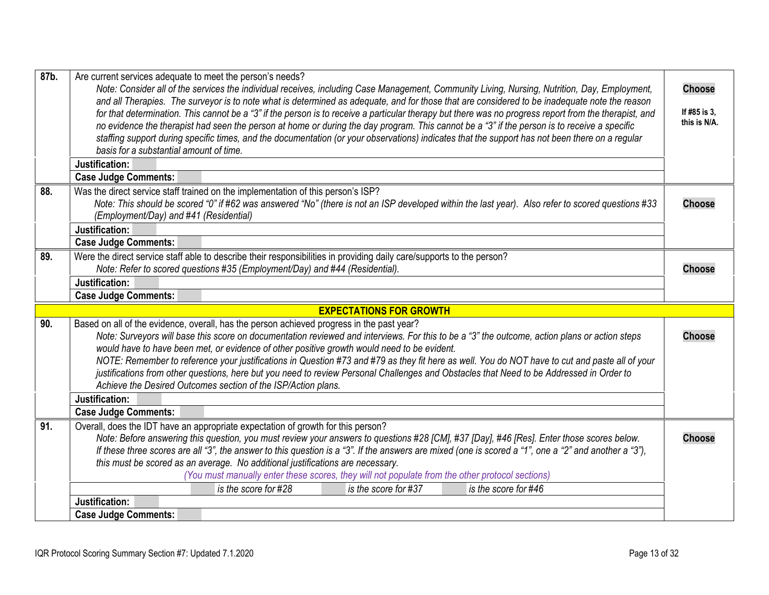<span id="page-12-5"></span><span id="page-12-4"></span><span id="page-12-3"></span><span id="page-12-2"></span><span id="page-12-1"></span><span id="page-12-0"></span>

| 87b. | Are current services adequate to meet the person's needs?<br>Note: Consider all of the services the individual receives, including Case Management, Community Living, Nursing, Nutrition, Day, Employment,<br>and all Therapies. The surveyor is to note what is determined as adequate, and for those that are considered to be inadequate note the reason<br>for that determination. This cannot be a "3" if the person is to receive a particular therapy but there was no progress report from the therapist, and<br>no evidence the therapist had seen the person at home or during the day program. This cannot be a "3" if the person is to receive a specific<br>staffing support during specific times, and the documentation (or your observations) indicates that the support has not been there on a regular<br>basis for a substantial amount of time.<br>Justification: | <b>Choose</b><br>If #85 is 3,<br>this is N/A. |
|------|---------------------------------------------------------------------------------------------------------------------------------------------------------------------------------------------------------------------------------------------------------------------------------------------------------------------------------------------------------------------------------------------------------------------------------------------------------------------------------------------------------------------------------------------------------------------------------------------------------------------------------------------------------------------------------------------------------------------------------------------------------------------------------------------------------------------------------------------------------------------------------------|-----------------------------------------------|
| 88.  | <b>Case Judge Comments:</b><br>Was the direct service staff trained on the implementation of this person's ISP?<br>Note: This should be scored "0" if #62 was answered "No" (there is not an ISP developed within the last year). Also refer to scored questions #33<br>(Employment/Day) and #41 (Residential)<br>Justification:<br><b>Case Judge Comments:</b>                                                                                                                                                                                                                                                                                                                                                                                                                                                                                                                       | <b>Choose</b>                                 |
| 89.  | Were the direct service staff able to describe their responsibilities in providing daily care/supports to the person?<br>Note: Refer to scored questions #35 (Employment/Day) and #44 (Residential).<br>Justification:<br><b>Case Judge Comments:</b>                                                                                                                                                                                                                                                                                                                                                                                                                                                                                                                                                                                                                                 | <b>Choose</b>                                 |
|      | <b>EXPECTATIONS FOR GROWTH</b>                                                                                                                                                                                                                                                                                                                                                                                                                                                                                                                                                                                                                                                                                                                                                                                                                                                        |                                               |
| 90.  | Based on all of the evidence, overall, has the person achieved progress in the past year?<br>Note: Surveyors will base this score on documentation reviewed and interviews. For this to be a "3" the outcome, action plans or action steps<br>would have to have been met, or evidence of other positive growth would need to be evident.<br>NOTE: Remember to reference your justifications in Question #73 and #79 as they fit here as well. You do NOT have to cut and paste all of your<br>justifications from other questions, here but you need to review Personal Challenges and Obstacles that Need to be Addressed in Order to<br>Achieve the Desired Outcomes section of the ISP/Action plans.                                                                                                                                                                              | <b>Choose</b>                                 |
|      | Justification:                                                                                                                                                                                                                                                                                                                                                                                                                                                                                                                                                                                                                                                                                                                                                                                                                                                                        |                                               |
|      | <b>Case Judge Comments:</b>                                                                                                                                                                                                                                                                                                                                                                                                                                                                                                                                                                                                                                                                                                                                                                                                                                                           |                                               |
| 91.  | Overall, does the IDT have an appropriate expectation of growth for this person?<br>Note: Before answering this question, you must review your answers to questions #28 [CM], #37 [Day], #46 [Res]. Enter those scores below.<br>If these three scores are all "3", the answer to this question is a "3". If the answers are mixed (one is scored a "1", one a "2" and another a "3"),<br>this must be scored as an average. No additional justifications are necessary.<br>(You must manually enter these scores, they will not populate from the other protocol sections)                                                                                                                                                                                                                                                                                                           | <b>Choose</b>                                 |
|      | is the score for #28<br>is the score for #37<br>is the score for #46                                                                                                                                                                                                                                                                                                                                                                                                                                                                                                                                                                                                                                                                                                                                                                                                                  |                                               |
|      | Justification:<br><b>Case Judge Comments:</b>                                                                                                                                                                                                                                                                                                                                                                                                                                                                                                                                                                                                                                                                                                                                                                                                                                         |                                               |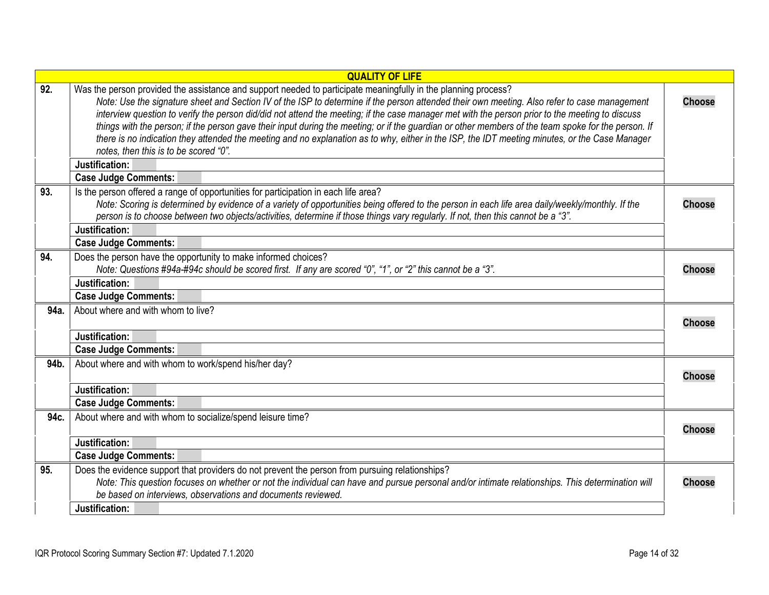<span id="page-13-7"></span><span id="page-13-6"></span><span id="page-13-5"></span><span id="page-13-4"></span><span id="page-13-3"></span><span id="page-13-2"></span><span id="page-13-1"></span><span id="page-13-0"></span>

|      | <b>QUALITY OF LIFE</b>                                                                                                                                                                                                                                                                                                                                                                                                                                                                                                                                                                                                                                                                                                                                                                |               |
|------|---------------------------------------------------------------------------------------------------------------------------------------------------------------------------------------------------------------------------------------------------------------------------------------------------------------------------------------------------------------------------------------------------------------------------------------------------------------------------------------------------------------------------------------------------------------------------------------------------------------------------------------------------------------------------------------------------------------------------------------------------------------------------------------|---------------|
| 92.  | Was the person provided the assistance and support needed to participate meaningfully in the planning process?<br>Note: Use the signature sheet and Section IV of the ISP to determine if the person attended their own meeting. Also refer to case management<br>interview question to verify the person did/did not attend the meeting; if the case manager met with the person prior to the meeting to discuss<br>things with the person; if the person gave their input during the meeting; or if the guardian or other members of the team spoke for the person. If<br>there is no indication they attended the meeting and no explanation as to why, either in the ISP, the IDT meeting minutes, or the Case Manager<br>notes, then this is to be scored "0".<br>Justification: | <b>Choose</b> |
|      | <b>Case Judge Comments:</b>                                                                                                                                                                                                                                                                                                                                                                                                                                                                                                                                                                                                                                                                                                                                                           |               |
| 93.  | Is the person offered a range of opportunities for participation in each life area?<br>Note: Scoring is determined by evidence of a variety of opportunities being offered to the person in each life area daily/weekly/monthly. If the<br>person is to choose between two objects/activities, determine if those things vary regularly. If not, then this cannot be a "3".<br>Justification:                                                                                                                                                                                                                                                                                                                                                                                         | <b>Choose</b> |
|      | <b>Case Judge Comments:</b>                                                                                                                                                                                                                                                                                                                                                                                                                                                                                                                                                                                                                                                                                                                                                           |               |
| 94.  | Does the person have the opportunity to make informed choices?<br>Note: Questions #94a-#94c should be scored first. If any are scored "0", "1", or "2" this cannot be a "3".<br>Justification:                                                                                                                                                                                                                                                                                                                                                                                                                                                                                                                                                                                        | <b>Choose</b> |
|      | <b>Case Judge Comments:</b>                                                                                                                                                                                                                                                                                                                                                                                                                                                                                                                                                                                                                                                                                                                                                           |               |
| 94a. | About where and with whom to live?                                                                                                                                                                                                                                                                                                                                                                                                                                                                                                                                                                                                                                                                                                                                                    | <b>Choose</b> |
|      | Justification:                                                                                                                                                                                                                                                                                                                                                                                                                                                                                                                                                                                                                                                                                                                                                                        |               |
|      | <b>Case Judge Comments:</b>                                                                                                                                                                                                                                                                                                                                                                                                                                                                                                                                                                                                                                                                                                                                                           |               |
| 94b. | About where and with whom to work/spend his/her day?                                                                                                                                                                                                                                                                                                                                                                                                                                                                                                                                                                                                                                                                                                                                  | <b>Choose</b> |
|      | Justification:                                                                                                                                                                                                                                                                                                                                                                                                                                                                                                                                                                                                                                                                                                                                                                        |               |
|      | <b>Case Judge Comments:</b>                                                                                                                                                                                                                                                                                                                                                                                                                                                                                                                                                                                                                                                                                                                                                           |               |
| 94c. | About where and with whom to socialize/spend leisure time?                                                                                                                                                                                                                                                                                                                                                                                                                                                                                                                                                                                                                                                                                                                            | <b>Choose</b> |
|      | Justification:                                                                                                                                                                                                                                                                                                                                                                                                                                                                                                                                                                                                                                                                                                                                                                        |               |
|      | <b>Case Judge Comments:</b>                                                                                                                                                                                                                                                                                                                                                                                                                                                                                                                                                                                                                                                                                                                                                           |               |
| 95.  | Does the evidence support that providers do not prevent the person from pursuing relationships?<br>Note: This question focuses on whether or not the individual can have and pursue personal and/or intimate relationships. This determination will<br>be based on interviews, observations and documents reviewed.                                                                                                                                                                                                                                                                                                                                                                                                                                                                   | <b>Choose</b> |
|      | Justification:                                                                                                                                                                                                                                                                                                                                                                                                                                                                                                                                                                                                                                                                                                                                                                        |               |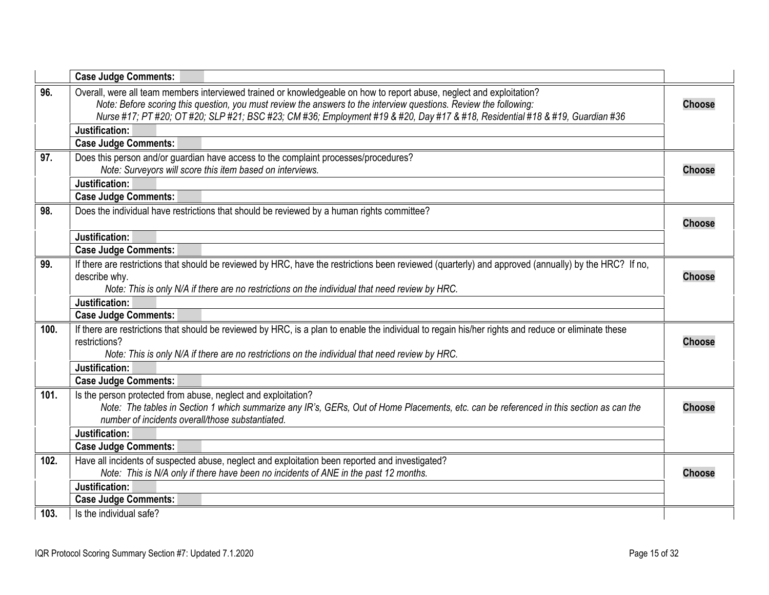<span id="page-14-6"></span><span id="page-14-5"></span><span id="page-14-4"></span><span id="page-14-3"></span><span id="page-14-2"></span><span id="page-14-1"></span><span id="page-14-0"></span>

|      | <b>Case Judge Comments:</b>                                                                                                                                                                                                                                                                                                                                                 |               |
|------|-----------------------------------------------------------------------------------------------------------------------------------------------------------------------------------------------------------------------------------------------------------------------------------------------------------------------------------------------------------------------------|---------------|
| 96.  | Overall, were all team members interviewed trained or knowledgeable on how to report abuse, neglect and exploitation?<br>Note: Before scoring this question, you must review the answers to the interview questions. Review the following:<br>Nurse #17; PT #20; OT #20; SLP #21; BSC #23; CM #36; Employment #19 & #20, Day #17 & #18, Residential #18 & #19, Guardian #36 | <b>Choose</b> |
|      | Justification:                                                                                                                                                                                                                                                                                                                                                              |               |
|      | <b>Case Judge Comments:</b>                                                                                                                                                                                                                                                                                                                                                 |               |
| 97.  | Does this person and/or guardian have access to the complaint processes/procedures?                                                                                                                                                                                                                                                                                         |               |
|      | Note: Surveyors will score this item based on interviews.                                                                                                                                                                                                                                                                                                                   | <b>Choose</b> |
|      | Justification:                                                                                                                                                                                                                                                                                                                                                              |               |
|      | <b>Case Judge Comments:</b>                                                                                                                                                                                                                                                                                                                                                 |               |
| 98.  | Does the individual have restrictions that should be reviewed by a human rights committee?                                                                                                                                                                                                                                                                                  | <b>Choose</b> |
|      | Justification:                                                                                                                                                                                                                                                                                                                                                              |               |
|      | <b>Case Judge Comments:</b>                                                                                                                                                                                                                                                                                                                                                 |               |
| 99.  | If there are restrictions that should be reviewed by HRC, have the restrictions been reviewed (quarterly) and approved (annually) by the HRC? If no,                                                                                                                                                                                                                        |               |
|      | describe why.                                                                                                                                                                                                                                                                                                                                                               | <b>Choose</b> |
|      | Note: This is only N/A if there are no restrictions on the individual that need review by HRC.                                                                                                                                                                                                                                                                              |               |
|      | Justification:                                                                                                                                                                                                                                                                                                                                                              |               |
|      | <b>Case Judge Comments:</b>                                                                                                                                                                                                                                                                                                                                                 |               |
| 100. | If there are restrictions that should be reviewed by HRC, is a plan to enable the individual to regain his/her rights and reduce or eliminate these<br>restrictions?                                                                                                                                                                                                        |               |
|      | Note: This is only N/A if there are no restrictions on the individual that need review by HRC.                                                                                                                                                                                                                                                                              | <b>Choose</b> |
|      | Justification:                                                                                                                                                                                                                                                                                                                                                              |               |
|      | <b>Case Judge Comments:</b>                                                                                                                                                                                                                                                                                                                                                 |               |
| 101. | Is the person protected from abuse, neglect and exploitation?                                                                                                                                                                                                                                                                                                               |               |
|      | Note: The tables in Section 1 which summarize any IR's, GERs, Out of Home Placements, etc. can be referenced in this section as can the                                                                                                                                                                                                                                     | <b>Choose</b> |
|      | number of incidents overall/those substantiated.                                                                                                                                                                                                                                                                                                                            |               |
|      | Justification:                                                                                                                                                                                                                                                                                                                                                              |               |
|      | <b>Case Judge Comments:</b>                                                                                                                                                                                                                                                                                                                                                 |               |
| 102. | Have all incidents of suspected abuse, neglect and exploitation been reported and investigated?                                                                                                                                                                                                                                                                             |               |
|      | Note: This is N/A only if there have been no incidents of ANE in the past 12 months.                                                                                                                                                                                                                                                                                        | <b>Choose</b> |
|      | Justification:                                                                                                                                                                                                                                                                                                                                                              |               |
|      | <b>Case Judge Comments:</b>                                                                                                                                                                                                                                                                                                                                                 |               |
| 103. | Is the individual safe?                                                                                                                                                                                                                                                                                                                                                     |               |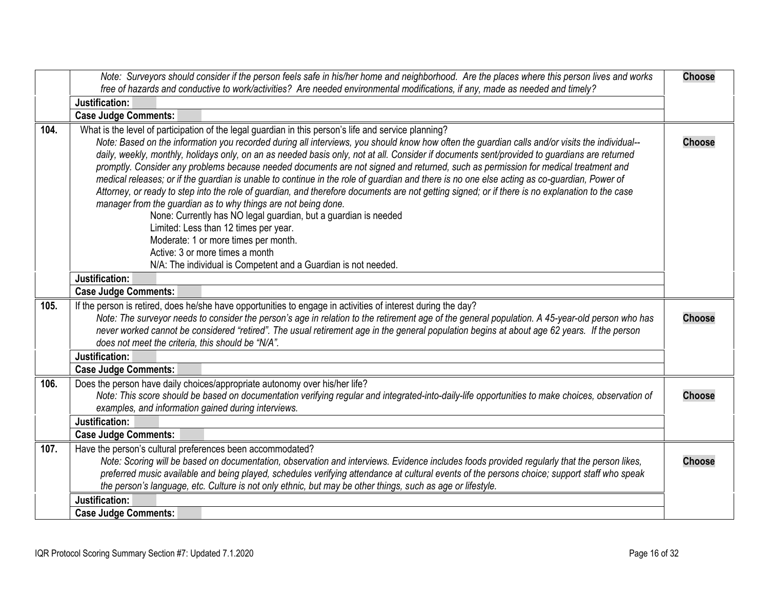<span id="page-15-4"></span><span id="page-15-3"></span><span id="page-15-2"></span><span id="page-15-1"></span><span id="page-15-0"></span>

|      | Note: Surveyors should consider if the person feels safe in his/her home and neighborhood. Are the places where this person lives and works                                                                                                                                                                                                                                                                                                                                                                                                                                                                                                                                                                                                                                                                                                                                                                                                                                                                                                                                                                                                                               | <b>Choose</b> |
|------|---------------------------------------------------------------------------------------------------------------------------------------------------------------------------------------------------------------------------------------------------------------------------------------------------------------------------------------------------------------------------------------------------------------------------------------------------------------------------------------------------------------------------------------------------------------------------------------------------------------------------------------------------------------------------------------------------------------------------------------------------------------------------------------------------------------------------------------------------------------------------------------------------------------------------------------------------------------------------------------------------------------------------------------------------------------------------------------------------------------------------------------------------------------------------|---------------|
|      | free of hazards and conductive to work/activities? Are needed environmental modifications, if any, made as needed and timely?                                                                                                                                                                                                                                                                                                                                                                                                                                                                                                                                                                                                                                                                                                                                                                                                                                                                                                                                                                                                                                             |               |
|      | Justification:                                                                                                                                                                                                                                                                                                                                                                                                                                                                                                                                                                                                                                                                                                                                                                                                                                                                                                                                                                                                                                                                                                                                                            |               |
|      | <b>Case Judge Comments:</b>                                                                                                                                                                                                                                                                                                                                                                                                                                                                                                                                                                                                                                                                                                                                                                                                                                                                                                                                                                                                                                                                                                                                               |               |
| 104. | What is the level of participation of the legal guardian in this person's life and service planning?<br>Note: Based on the information you recorded during all interviews, you should know how often the guardian calls and/or visits the individual--<br>daily, weekly, monthly, holidays only, on an as needed basis only, not at all. Consider if documents sent/provided to guardians are returned<br>promptly. Consider any problems because needed documents are not signed and returned, such as permission for medical treatment and<br>medical releases; or if the guardian is unable to continue in the role of guardian and there is no one else acting as co-guardian, Power of<br>Attorney, or ready to step into the role of guardian, and therefore documents are not getting signed; or if there is no explanation to the case<br>manager from the guardian as to why things are not being done.<br>None: Currently has NO legal guardian, but a guardian is needed<br>Limited: Less than 12 times per year.<br>Moderate: 1 or more times per month.<br>Active: 3 or more times a month<br>N/A: The individual is Competent and a Guardian is not needed. | <b>Choose</b> |
|      | Justification:<br><b>Case Judge Comments:</b>                                                                                                                                                                                                                                                                                                                                                                                                                                                                                                                                                                                                                                                                                                                                                                                                                                                                                                                                                                                                                                                                                                                             |               |
| 105. | If the person is retired, does he/she have opportunities to engage in activities of interest during the day?<br>Note: The surveyor needs to consider the person's age in relation to the retirement age of the general population. A 45-year-old person who has<br>never worked cannot be considered "retired". The usual retirement age in the general population begins at about age 62 years. If the person<br>does not meet the criteria, this should be "N/A".                                                                                                                                                                                                                                                                                                                                                                                                                                                                                                                                                                                                                                                                                                       | <b>Choose</b> |
|      | Justification:                                                                                                                                                                                                                                                                                                                                                                                                                                                                                                                                                                                                                                                                                                                                                                                                                                                                                                                                                                                                                                                                                                                                                            |               |
|      | <b>Case Judge Comments:</b>                                                                                                                                                                                                                                                                                                                                                                                                                                                                                                                                                                                                                                                                                                                                                                                                                                                                                                                                                                                                                                                                                                                                               |               |
| 106. | Does the person have daily choices/appropriate autonomy over his/her life?<br>Note: This score should be based on documentation verifying regular and integrated-into-daily-life opportunities to make choices, observation of<br>examples, and information gained during interviews.                                                                                                                                                                                                                                                                                                                                                                                                                                                                                                                                                                                                                                                                                                                                                                                                                                                                                     | <b>Choose</b> |
|      | Justification:                                                                                                                                                                                                                                                                                                                                                                                                                                                                                                                                                                                                                                                                                                                                                                                                                                                                                                                                                                                                                                                                                                                                                            |               |
|      | <b>Case Judge Comments:</b>                                                                                                                                                                                                                                                                                                                                                                                                                                                                                                                                                                                                                                                                                                                                                                                                                                                                                                                                                                                                                                                                                                                                               |               |
| 107. | Have the person's cultural preferences been accommodated?<br>Note: Scoring will be based on documentation, observation and interviews. Evidence includes foods provided regularly that the person likes,<br>preferred music available and being played, schedules verifying attendance at cultural events of the persons choice; support staff who speak<br>the person's language, etc. Culture is not only ethnic, but may be other things, such as age or lifestyle.                                                                                                                                                                                                                                                                                                                                                                                                                                                                                                                                                                                                                                                                                                    | <b>Choose</b> |
|      | Justification:                                                                                                                                                                                                                                                                                                                                                                                                                                                                                                                                                                                                                                                                                                                                                                                                                                                                                                                                                                                                                                                                                                                                                            |               |
|      | <b>Case Judge Comments:</b>                                                                                                                                                                                                                                                                                                                                                                                                                                                                                                                                                                                                                                                                                                                                                                                                                                                                                                                                                                                                                                                                                                                                               |               |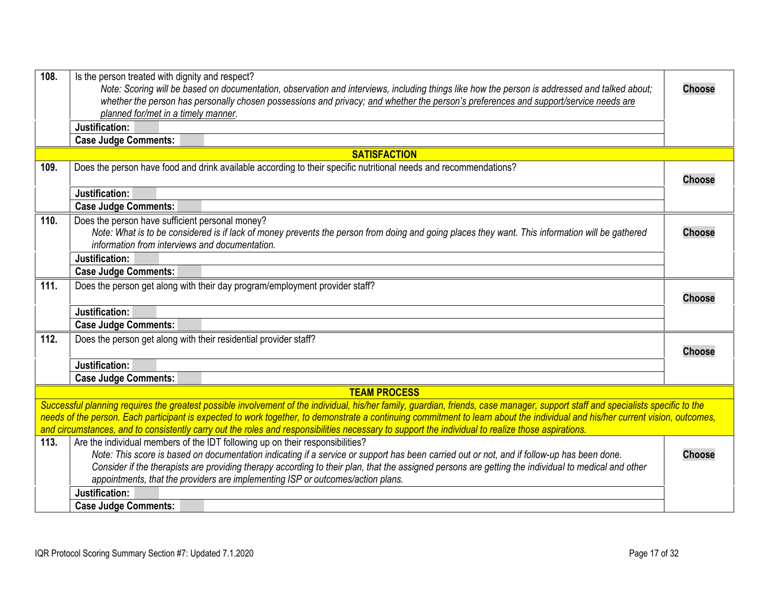<span id="page-16-7"></span><span id="page-16-6"></span><span id="page-16-5"></span><span id="page-16-4"></span><span id="page-16-3"></span><span id="page-16-2"></span><span id="page-16-1"></span><span id="page-16-0"></span>

| 108. |                                                                                                                                                                                  |               |
|------|----------------------------------------------------------------------------------------------------------------------------------------------------------------------------------|---------------|
|      | Is the person treated with dignity and respect?                                                                                                                                  |               |
|      | Note: Scoring will be based on documentation, observation and interviews, including things like how the person is addressed and talked about;                                    | <b>Choose</b> |
|      | whether the person has personally chosen possessions and privacy; and whether the person's preferences and support/service needs are                                             |               |
|      | planned for/met in a timely manner.                                                                                                                                              |               |
|      | Justification:                                                                                                                                                                   |               |
|      | <b>Case Judge Comments:</b>                                                                                                                                                      |               |
|      | <b>SATISFACTION</b>                                                                                                                                                              |               |
| 109. | Does the person have food and drink available according to their specific nutritional needs and recommendations?                                                                 |               |
|      |                                                                                                                                                                                  | <b>Choose</b> |
|      | Justification:                                                                                                                                                                   |               |
|      | <b>Case Judge Comments:</b>                                                                                                                                                      |               |
| 110. | Does the person have sufficient personal money?                                                                                                                                  |               |
|      | Note: What is to be considered is if lack of money prevents the person from doing and going places they want. This information will be gathered                                  | <b>Choose</b> |
|      | information from interviews and documentation.                                                                                                                                   |               |
|      | Justification:                                                                                                                                                                   |               |
|      | <b>Case Judge Comments:</b>                                                                                                                                                      |               |
|      |                                                                                                                                                                                  |               |
| 111. | Does the person get along with their day program/employment provider staff?                                                                                                      |               |
|      |                                                                                                                                                                                  | <b>Choose</b> |
|      | Justification:                                                                                                                                                                   |               |
|      | <b>Case Judge Comments:</b>                                                                                                                                                      |               |
| 112. | Does the person get along with their residential provider staff?                                                                                                                 |               |
|      |                                                                                                                                                                                  | <b>Choose</b> |
|      | Justification:                                                                                                                                                                   |               |
|      | <b>Case Judge Comments:</b>                                                                                                                                                      |               |
|      | <b>TEAM PROCESS</b>                                                                                                                                                              |               |
|      | Successful planning requires the greatest possible involvement of the individual, his/her family, guardian, friends, case manager, support staff and specialists specific to the |               |
|      | needs of the person. Each participant is expected to work together, to demonstrate a continuing commitment to learn about the individual and his/her current vision, outcomes,   |               |
|      | and circumstances, and to consistently carry out the roles and responsibilities necessary to support the individual to realize those aspirations.                                |               |
| 113. | Are the individual members of the IDT following up on their responsibilities?                                                                                                    |               |
|      | Note: This score is based on documentation indicating if a service or support has been carried out or not, and if follow-up has been done.                                       | <b>Choose</b> |
|      | Consider if the therapists are providing therapy according to their plan, that the assigned persons are getting the individual to medical and other                              |               |
|      | appointments, that the providers are implementing ISP or outcomes/action plans.                                                                                                  |               |
|      | Justification:                                                                                                                                                                   |               |
|      | <b>Case Judge Comments:</b>                                                                                                                                                      |               |
|      |                                                                                                                                                                                  |               |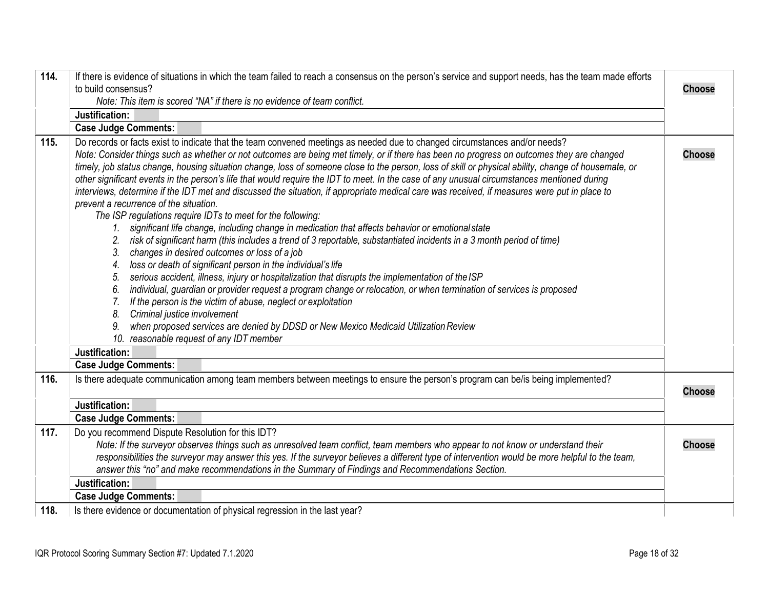<span id="page-17-3"></span><span id="page-17-2"></span><span id="page-17-1"></span><span id="page-17-0"></span>

| 114. | If there is evidence of situations in which the team failed to reach a consensus on the person's service and support needs, has the team made efforts                                                                                                                                                                                                                                                                                                                                                                                                                                                                                                                                                                                                                                                                                                                                                                                                                                                                                                                                                                                                                                                                                                                                                                                                                                                                                                                                                                                                                                                                                                                                                                                   |               |
|------|-----------------------------------------------------------------------------------------------------------------------------------------------------------------------------------------------------------------------------------------------------------------------------------------------------------------------------------------------------------------------------------------------------------------------------------------------------------------------------------------------------------------------------------------------------------------------------------------------------------------------------------------------------------------------------------------------------------------------------------------------------------------------------------------------------------------------------------------------------------------------------------------------------------------------------------------------------------------------------------------------------------------------------------------------------------------------------------------------------------------------------------------------------------------------------------------------------------------------------------------------------------------------------------------------------------------------------------------------------------------------------------------------------------------------------------------------------------------------------------------------------------------------------------------------------------------------------------------------------------------------------------------------------------------------------------------------------------------------------------------|---------------|
|      | to build consensus?                                                                                                                                                                                                                                                                                                                                                                                                                                                                                                                                                                                                                                                                                                                                                                                                                                                                                                                                                                                                                                                                                                                                                                                                                                                                                                                                                                                                                                                                                                                                                                                                                                                                                                                     | <b>Choose</b> |
|      | Note: This item is scored "NA" if there is no evidence of team conflict.                                                                                                                                                                                                                                                                                                                                                                                                                                                                                                                                                                                                                                                                                                                                                                                                                                                                                                                                                                                                                                                                                                                                                                                                                                                                                                                                                                                                                                                                                                                                                                                                                                                                |               |
|      | Justification:                                                                                                                                                                                                                                                                                                                                                                                                                                                                                                                                                                                                                                                                                                                                                                                                                                                                                                                                                                                                                                                                                                                                                                                                                                                                                                                                                                                                                                                                                                                                                                                                                                                                                                                          |               |
|      | <b>Case Judge Comments:</b>                                                                                                                                                                                                                                                                                                                                                                                                                                                                                                                                                                                                                                                                                                                                                                                                                                                                                                                                                                                                                                                                                                                                                                                                                                                                                                                                                                                                                                                                                                                                                                                                                                                                                                             |               |
| 115. | Do records or facts exist to indicate that the team convened meetings as needed due to changed circumstances and/or needs?<br>Note: Consider things such as whether or not outcomes are being met timely, or if there has been no progress on outcomes they are changed<br>timely, job status change, housing situation change, loss of someone close to the person, loss of skill or physical ability, change of housemate, or<br>other significant events in the person's life that would require the IDT to meet. In the case of any unusual circumstances mentioned during<br>interviews, determine if the IDT met and discussed the situation, if appropriate medical care was received, if measures were put in place to<br>prevent a recurrence of the situation.<br>The ISP regulations require IDTs to meet for the following:<br>significant life change, including change in medication that affects behavior or emotional state<br>$1_{-}$<br>risk of significant harm (this includes a trend of 3 reportable, substantiated incidents in a 3 month period of time)<br>changes in desired outcomes or loss of a job<br>3.<br>loss or death of significant person in the individual's life<br>4.<br>serious accident, illness, injury or hospitalization that disrupts the implementation of the ISP<br>5.<br>individual, guardian or provider request a program change or relocation, or when termination of services is proposed<br>6.<br>If the person is the victim of abuse, neglect or exploitation<br>7 <sub>1</sub><br>Criminal justice involvement<br>8.<br>when proposed services are denied by DDSD or New Mexico Medicaid Utilization Review<br>9.<br>10. reasonable request of any IDT member<br>Justification: | <b>Choose</b> |
|      | <b>Case Judge Comments:</b>                                                                                                                                                                                                                                                                                                                                                                                                                                                                                                                                                                                                                                                                                                                                                                                                                                                                                                                                                                                                                                                                                                                                                                                                                                                                                                                                                                                                                                                                                                                                                                                                                                                                                                             |               |
| 116. | Is there adequate communication among team members between meetings to ensure the person's program can be/is being implemented?<br>Justification:<br><b>Case Judge Comments:</b>                                                                                                                                                                                                                                                                                                                                                                                                                                                                                                                                                                                                                                                                                                                                                                                                                                                                                                                                                                                                                                                                                                                                                                                                                                                                                                                                                                                                                                                                                                                                                        | <b>Choose</b> |
| 117. | Do you recommend Dispute Resolution for this IDT?<br>Note: If the surveyor observes things such as unresolved team conflict, team members who appear to not know or understand their<br>responsibilities the surveyor may answer this yes. If the surveyor believes a different type of intervention would be more helpful to the team,<br>answer this "no" and make recommendations in the Summary of Findings and Recommendations Section.                                                                                                                                                                                                                                                                                                                                                                                                                                                                                                                                                                                                                                                                                                                                                                                                                                                                                                                                                                                                                                                                                                                                                                                                                                                                                            | <b>Choose</b> |
|      | Justification:                                                                                                                                                                                                                                                                                                                                                                                                                                                                                                                                                                                                                                                                                                                                                                                                                                                                                                                                                                                                                                                                                                                                                                                                                                                                                                                                                                                                                                                                                                                                                                                                                                                                                                                          |               |
|      | <b>Case Judge Comments:</b>                                                                                                                                                                                                                                                                                                                                                                                                                                                                                                                                                                                                                                                                                                                                                                                                                                                                                                                                                                                                                                                                                                                                                                                                                                                                                                                                                                                                                                                                                                                                                                                                                                                                                                             |               |
| 118. | Is there evidence or documentation of physical regression in the last year?                                                                                                                                                                                                                                                                                                                                                                                                                                                                                                                                                                                                                                                                                                                                                                                                                                                                                                                                                                                                                                                                                                                                                                                                                                                                                                                                                                                                                                                                                                                                                                                                                                                             |               |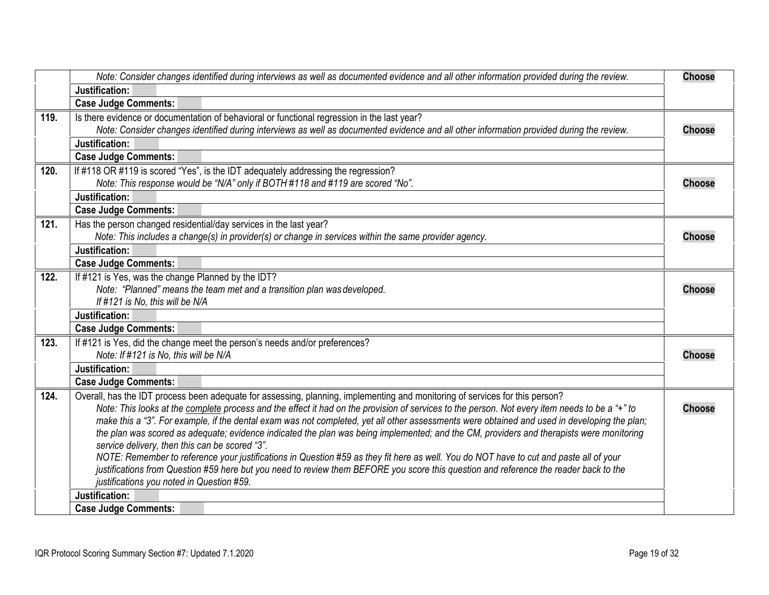<span id="page-18-7"></span><span id="page-18-6"></span><span id="page-18-5"></span><span id="page-18-4"></span><span id="page-18-3"></span><span id="page-18-2"></span><span id="page-18-1"></span><span id="page-18-0"></span>

|      | Note: Consider changes identified during interviews as well as documented evidence and all other information provided during the review.                                                   | <b>Choose</b> |
|------|--------------------------------------------------------------------------------------------------------------------------------------------------------------------------------------------|---------------|
|      | Justification:                                                                                                                                                                             |               |
|      | <b>Case Judge Comments:</b>                                                                                                                                                                |               |
| 119. | Is there evidence or documentation of behavioral or functional regression in the last year?                                                                                                |               |
|      | Note: Consider changes identified during interviews as well as documented evidence and all other information provided during the review.                                                   | <b>Choose</b> |
|      | Justification:                                                                                                                                                                             |               |
|      | <b>Case Judge Comments:</b>                                                                                                                                                                |               |
| 120. | If #118 OR #119 is scored "Yes", is the IDT adequately addressing the regression?                                                                                                          |               |
|      | Note: This response would be "N/A" only if BOTH #118 and #119 are scored "No".                                                                                                             | <b>Choose</b> |
|      | Justification:                                                                                                                                                                             |               |
|      | <b>Case Judge Comments:</b>                                                                                                                                                                |               |
| 121. | Has the person changed residential/day services in the last year?                                                                                                                          |               |
|      | Note: This includes a change(s) in provider(s) or change in services within the same provider agency.                                                                                      | <b>Choose</b> |
|      | Justification:                                                                                                                                                                             |               |
|      | <b>Case Judge Comments:</b>                                                                                                                                                                |               |
| 122. | If #121 is Yes, was the change Planned by the IDT?                                                                                                                                         |               |
|      | Note: "Planned" means the team met and a transition plan was developed.                                                                                                                    | <b>Choose</b> |
|      | If #121 is No, this will be N/A                                                                                                                                                            |               |
|      | Justification:                                                                                                                                                                             |               |
|      | <b>Case Judge Comments:</b>                                                                                                                                                                |               |
| 123. | If #121 is Yes, did the change meet the person's needs and/or preferences?                                                                                                                 |               |
|      | Note: If #121 is No, this will be N/A                                                                                                                                                      | <b>Choose</b> |
|      | Justification:                                                                                                                                                                             |               |
|      | <b>Case Judge Comments:</b>                                                                                                                                                                |               |
| 124. | Overall, has the IDT process been adequate for assessing, planning, implementing and monitoring of services for this person?                                                               |               |
|      | Note: This looks at the complete process and the effect it had on the provision of services to the person. Not every item needs to be a "+" to                                             | <b>Choose</b> |
|      | make this a "3". For example, if the dental exam was not completed, yet all other assessments were obtained and used in developing the plan;                                               |               |
|      | the plan was scored as adequate; evidence indicated the plan was being implemented; and the CM, providers and therapists were monitoring<br>service delivery, then this can be scored "3". |               |
|      | NOTE: Remember to reference your justifications in Question #59 as they fit here as well. You do NOT have to cut and paste all of your                                                     |               |
|      | justifications from Question #59 here but you need to review them BEFORE you score this question and reference the reader back to the                                                      |               |
|      | justifications you noted in Question #59.                                                                                                                                                  |               |
|      | Justification:                                                                                                                                                                             |               |
|      | <b>Case Judge Comments:</b>                                                                                                                                                                |               |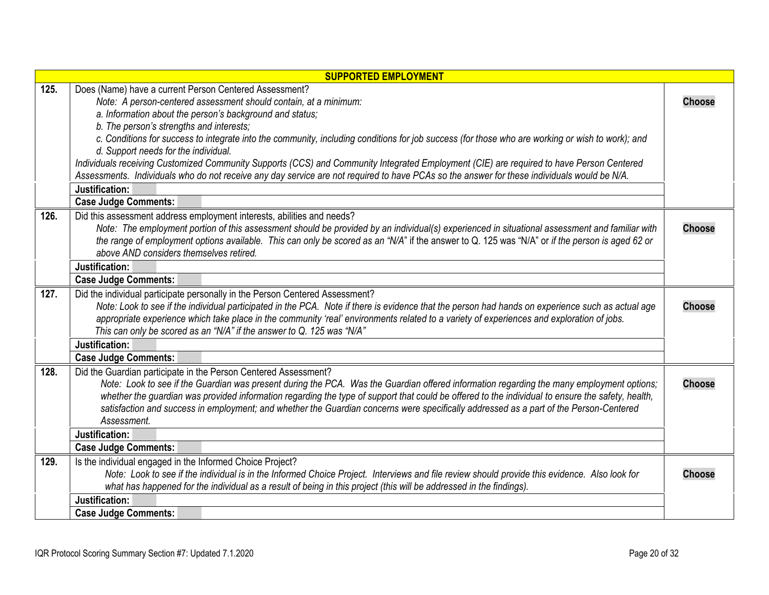<span id="page-19-4"></span><span id="page-19-3"></span><span id="page-19-2"></span><span id="page-19-1"></span><span id="page-19-0"></span>

| <b>SUPPORTED EMPLOYMENT</b> |                                                                                                                                                                                                                                                                                                                                                                                                                                                                                                                            |               |
|-----------------------------|----------------------------------------------------------------------------------------------------------------------------------------------------------------------------------------------------------------------------------------------------------------------------------------------------------------------------------------------------------------------------------------------------------------------------------------------------------------------------------------------------------------------------|---------------|
| 125.                        | Does (Name) have a current Person Centered Assessment?<br>Note: A person-centered assessment should contain, at a minimum:<br>a. Information about the person's background and status;                                                                                                                                                                                                                                                                                                                                     | <b>Choose</b> |
|                             | b. The person's strengths and interests;<br>c. Conditions for success to integrate into the community, including conditions for job success (for those who are working or wish to work); and<br>d. Support needs for the individual.<br>Individuals receiving Customized Community Supports (CCS) and Community Integrated Employment (CIE) are required to have Person Centered                                                                                                                                           |               |
|                             | Assessments. Individuals who do not receive any day service are not required to have PCAs so the answer for these individuals would be N/A.<br>Justification:<br><b>Case Judge Comments:</b>                                                                                                                                                                                                                                                                                                                               |               |
| 126.                        | Did this assessment address employment interests, abilities and needs?<br>Note: The employment portion of this assessment should be provided by an individual(s) experienced in situational assessment and familiar with<br>the range of employment options available. This can only be scored as an "N/A" if the answer to Q. 125 was "N/A" or if the person is aged 62 or<br>above AND considers themselves retired.                                                                                                     | <b>Choose</b> |
|                             | Justification:<br><b>Case Judge Comments:</b>                                                                                                                                                                                                                                                                                                                                                                                                                                                                              |               |
| 127.                        | Did the individual participate personally in the Person Centered Assessment?<br>Note: Look to see if the individual participated in the PCA. Note if there is evidence that the person had hands on experience such as actual age<br>appropriate experience which take place in the community 'real' environments related to a variety of experiences and exploration of jobs.<br>This can only be scored as an "N/A" if the answer to Q. 125 was "N/A"                                                                    | <b>Choose</b> |
|                             | Justification:                                                                                                                                                                                                                                                                                                                                                                                                                                                                                                             |               |
|                             | <b>Case Judge Comments:</b>                                                                                                                                                                                                                                                                                                                                                                                                                                                                                                |               |
| 128.                        | Did the Guardian participate in the Person Centered Assessment?<br>Note: Look to see if the Guardian was present during the PCA. Was the Guardian offered information regarding the many employment options;<br>whether the guardian was provided information regarding the type of support that could be offered to the individual to ensure the safety, health,<br>satisfaction and success in employment; and whether the Guardian concerns were specifically addressed as a part of the Person-Centered<br>Assessment. | <b>Choose</b> |
|                             | Justification:                                                                                                                                                                                                                                                                                                                                                                                                                                                                                                             |               |
|                             | <b>Case Judge Comments:</b>                                                                                                                                                                                                                                                                                                                                                                                                                                                                                                |               |
| 129.                        | Is the individual engaged in the Informed Choice Project?<br>Note: Look to see if the individual is in the Informed Choice Project. Interviews and file review should provide this evidence. Also look for<br>what has happened for the individual as a result of being in this project (this will be addressed in the findings).                                                                                                                                                                                          | <b>Choose</b> |
|                             | Justification:                                                                                                                                                                                                                                                                                                                                                                                                                                                                                                             |               |
|                             | <b>Case Judge Comments:</b>                                                                                                                                                                                                                                                                                                                                                                                                                                                                                                |               |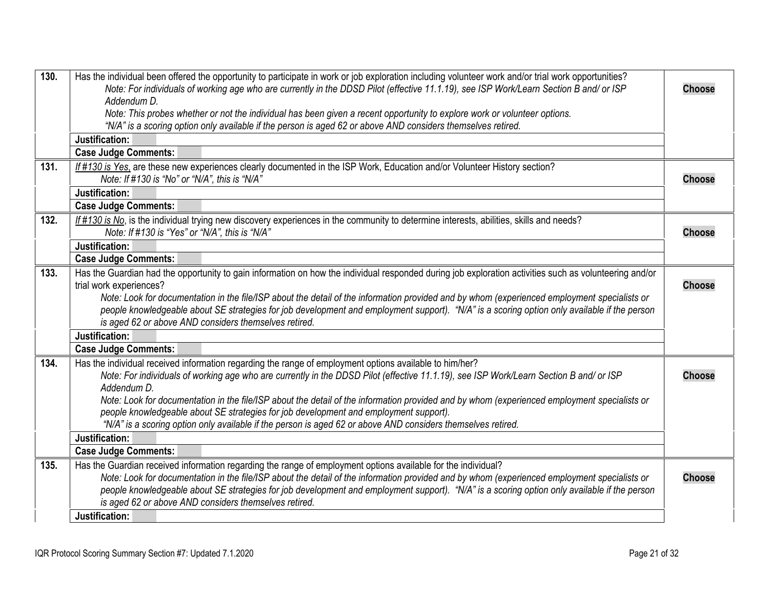<span id="page-20-5"></span><span id="page-20-4"></span><span id="page-20-3"></span><span id="page-20-2"></span><span id="page-20-1"></span><span id="page-20-0"></span>

| 130. | Has the individual been offered the opportunity to participate in work or job exploration including volunteer work and/or trial work opportunities?<br>Note: For individuals of working age who are currently in the DDSD Pilot (effective 11.1.19), see ISP Work/Learn Section B and/ or ISP<br>Addendum D. | <b>Choose</b> |
|------|--------------------------------------------------------------------------------------------------------------------------------------------------------------------------------------------------------------------------------------------------------------------------------------------------------------|---------------|
|      | Note: This probes whether or not the individual has been given a recent opportunity to explore work or volunteer options.                                                                                                                                                                                    |               |
|      | "N/A" is a scoring option only available if the person is aged 62 or above AND considers themselves retired.                                                                                                                                                                                                 |               |
|      | Justification:                                                                                                                                                                                                                                                                                               |               |
|      | <b>Case Judge Comments:</b>                                                                                                                                                                                                                                                                                  |               |
| 131. | If #130 is Yes, are these new experiences clearly documented in the ISP Work, Education and/or Volunteer History section?                                                                                                                                                                                    |               |
|      | Note: If #130 is "No" or "N/A", this is "N/A"                                                                                                                                                                                                                                                                | <b>Choose</b> |
|      | Justification:                                                                                                                                                                                                                                                                                               |               |
|      | <b>Case Judge Comments:</b>                                                                                                                                                                                                                                                                                  |               |
| 132. | If #130 is No, is the individual trying new discovery experiences in the community to determine interests, abilities, skills and needs?<br>Note: If #130 is "Yes" or "N/A", this is "N/A"                                                                                                                    | <b>Choose</b> |
|      | Justification:                                                                                                                                                                                                                                                                                               |               |
|      | <b>Case Judge Comments:</b>                                                                                                                                                                                                                                                                                  |               |
| 133. | Has the Guardian had the opportunity to gain information on how the individual responded during job exploration activities such as volunteering and/or                                                                                                                                                       |               |
|      | trial work experiences?                                                                                                                                                                                                                                                                                      | <b>Choose</b> |
|      | Note: Look for documentation in the file/ISP about the detail of the information provided and by whom (experienced employment specialists or                                                                                                                                                                 |               |
|      | people knowledgeable about SE strategies for job development and employment support). "N/A" is a scoring option only available if the person                                                                                                                                                                 |               |
|      | is aged 62 or above AND considers themselves retired.                                                                                                                                                                                                                                                        |               |
|      | Justification:                                                                                                                                                                                                                                                                                               |               |
|      | <b>Case Judge Comments:</b>                                                                                                                                                                                                                                                                                  |               |
| 134. | Has the individual received information regarding the range of employment options available to him/her?                                                                                                                                                                                                      |               |
|      | Note: For individuals of working age who are currently in the DDSD Pilot (effective 11.1.19), see ISP Work/Learn Section B and/ or ISP                                                                                                                                                                       | <b>Choose</b> |
|      | Addendum D.                                                                                                                                                                                                                                                                                                  |               |
|      | Note: Look for documentation in the file/ISP about the detail of the information provided and by whom (experienced employment specialists or<br>people knowledgeable about SE strategies for job development and employment support).                                                                        |               |
|      | "N/A" is a scoring option only available if the person is aged 62 or above AND considers themselves retired.                                                                                                                                                                                                 |               |
|      | Justification:                                                                                                                                                                                                                                                                                               |               |
|      | <b>Case Judge Comments:</b>                                                                                                                                                                                                                                                                                  |               |
| 135. | Has the Guardian received information regarding the range of employment options available for the individual?                                                                                                                                                                                                |               |
|      | Note: Look for documentation in the file/ISP about the detail of the information provided and by whom (experienced employment specialists or                                                                                                                                                                 | <b>Choose</b> |
|      | people knowledgeable about SE strategies for job development and employment support). "N/A" is a scoring option only available if the person                                                                                                                                                                 |               |
|      | is aged 62 or above AND considers themselves retired.                                                                                                                                                                                                                                                        |               |
|      | Justification:                                                                                                                                                                                                                                                                                               |               |
|      |                                                                                                                                                                                                                                                                                                              |               |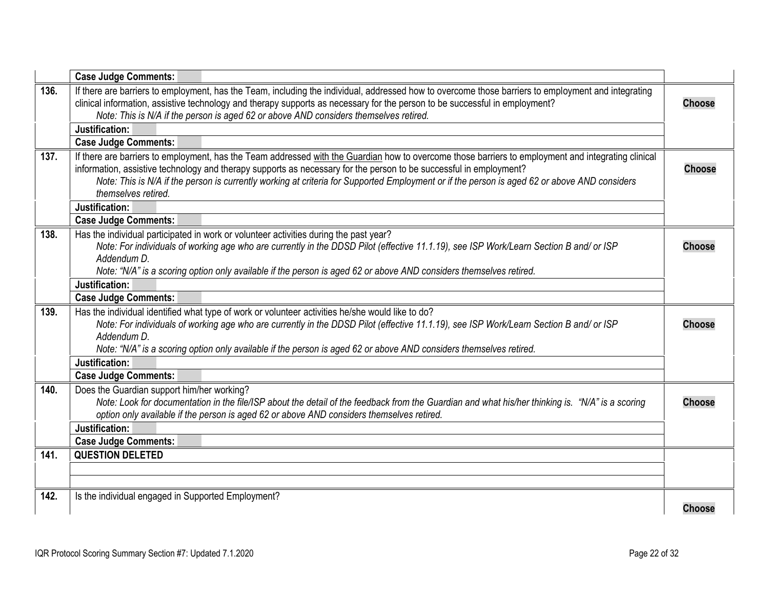<span id="page-21-5"></span><span id="page-21-4"></span><span id="page-21-3"></span><span id="page-21-2"></span><span id="page-21-1"></span><span id="page-21-0"></span>

|      | <b>Case Judge Comments:</b>                                                                                                                                                                                                                                                                                                                                                                                                                      |               |
|------|--------------------------------------------------------------------------------------------------------------------------------------------------------------------------------------------------------------------------------------------------------------------------------------------------------------------------------------------------------------------------------------------------------------------------------------------------|---------------|
| 136. | If there are barriers to employment, has the Team, including the individual, addressed how to overcome those barriers to employment and integrating<br>clinical information, assistive technology and therapy supports as necessary for the person to be successful in employment?<br>Note: This is N/A if the person is aged 62 or above AND considers themselves retired.                                                                      | <b>Choose</b> |
|      | Justification:                                                                                                                                                                                                                                                                                                                                                                                                                                   |               |
|      | <b>Case Judge Comments:</b>                                                                                                                                                                                                                                                                                                                                                                                                                      |               |
| 137. | If there are barriers to employment, has the Team addressed with the Guardian how to overcome those barriers to employment and integrating clinical<br>information, assistive technology and therapy supports as necessary for the person to be successful in employment?<br>Note: This is N/A if the person is currently working at criteria for Supported Employment or if the person is aged 62 or above AND considers<br>themselves retired. | <b>Choose</b> |
|      | Justification:                                                                                                                                                                                                                                                                                                                                                                                                                                   |               |
|      | <b>Case Judge Comments:</b>                                                                                                                                                                                                                                                                                                                                                                                                                      |               |
| 138. | Has the individual participated in work or volunteer activities during the past year?<br>Note: For individuals of working age who are currently in the DDSD Pilot (effective 11.1.19), see ISP Work/Learn Section B and/ or ISP<br>Addendum D.<br>Note: "N/A" is a scoring option only available if the person is aged 62 or above AND considers themselves retired.                                                                             | <b>Choose</b> |
|      | Justification:                                                                                                                                                                                                                                                                                                                                                                                                                                   |               |
|      | <b>Case Judge Comments:</b>                                                                                                                                                                                                                                                                                                                                                                                                                      |               |
| 139. | Has the individual identified what type of work or volunteer activities he/she would like to do?<br>Note: For individuals of working age who are currently in the DDSD Pilot (effective 11.1.19), see ISP Work/Learn Section B and/ or ISP<br>Addendum D.                                                                                                                                                                                        | <b>Choose</b> |
|      | Note: "N/A" is a scoring option only available if the person is aged 62 or above AND considers themselves retired.<br>Justification:                                                                                                                                                                                                                                                                                                             |               |
|      | <b>Case Judge Comments:</b>                                                                                                                                                                                                                                                                                                                                                                                                                      |               |
| 140. | Does the Guardian support him/her working?<br>Note: Look for documentation in the file/ISP about the detail of the feedback from the Guardian and what his/her thinking is. "N/A" is a scoring<br>option only available if the person is aged 62 or above AND considers themselves retired.                                                                                                                                                      | <b>Choose</b> |
|      | Justification:                                                                                                                                                                                                                                                                                                                                                                                                                                   |               |
| 141. | <b>Case Judge Comments:</b><br><b>QUESTION DELETED</b>                                                                                                                                                                                                                                                                                                                                                                                           |               |
|      |                                                                                                                                                                                                                                                                                                                                                                                                                                                  |               |
| 142. | Is the individual engaged in Supported Employment?                                                                                                                                                                                                                                                                                                                                                                                               | <b>Choose</b> |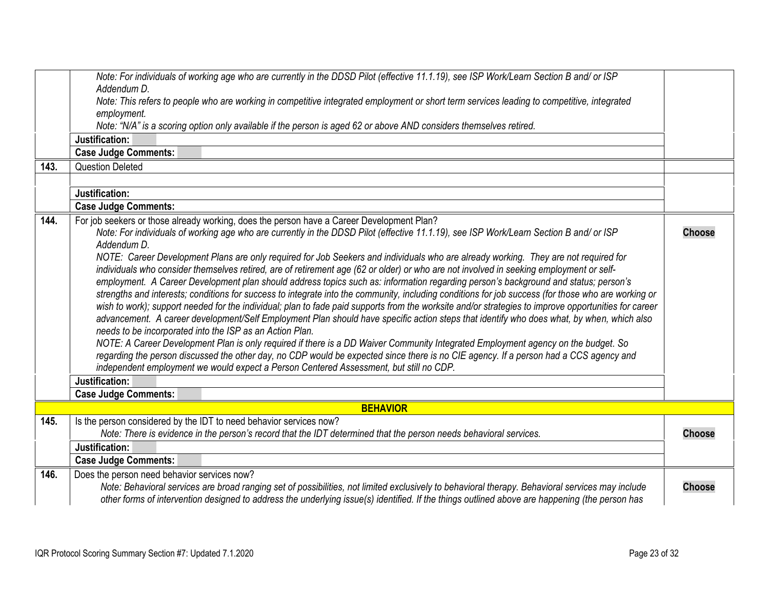<span id="page-22-3"></span><span id="page-22-2"></span><span id="page-22-1"></span><span id="page-22-0"></span>

| 143. | Note: For individuals of working age who are currently in the DDSD Pilot (effective 11.1.19), see ISP Work/Learn Section B and/ or ISP<br>Addendum D.<br>Note: This refers to people who are working in competitive integrated employment or short term services leading to competitive, integrated<br>employment.<br>Note: "N/A" is a scoring option only available if the person is aged 62 or above AND considers themselves retired.<br>Justification:<br><b>Case Judge Comments:</b><br><b>Question Deleted</b>                                                                                                                                                                                                                                                                                                                                                                                                                                                                                                                                                                                                                                                                                                                                                                                                                                                                                                                                                                                                                                                                                                         |               |
|------|------------------------------------------------------------------------------------------------------------------------------------------------------------------------------------------------------------------------------------------------------------------------------------------------------------------------------------------------------------------------------------------------------------------------------------------------------------------------------------------------------------------------------------------------------------------------------------------------------------------------------------------------------------------------------------------------------------------------------------------------------------------------------------------------------------------------------------------------------------------------------------------------------------------------------------------------------------------------------------------------------------------------------------------------------------------------------------------------------------------------------------------------------------------------------------------------------------------------------------------------------------------------------------------------------------------------------------------------------------------------------------------------------------------------------------------------------------------------------------------------------------------------------------------------------------------------------------------------------------------------------|---------------|
|      | Justification:                                                                                                                                                                                                                                                                                                                                                                                                                                                                                                                                                                                                                                                                                                                                                                                                                                                                                                                                                                                                                                                                                                                                                                                                                                                                                                                                                                                                                                                                                                                                                                                                               |               |
|      | <b>Case Judge Comments:</b>                                                                                                                                                                                                                                                                                                                                                                                                                                                                                                                                                                                                                                                                                                                                                                                                                                                                                                                                                                                                                                                                                                                                                                                                                                                                                                                                                                                                                                                                                                                                                                                                  |               |
| 144. | For job seekers or those already working, does the person have a Career Development Plan?<br>Note: For individuals of working age who are currently in the DDSD Pilot (effective 11.1.19), see ISP Work/Learn Section B and/ or ISP<br>Addendum D.<br>NOTE: Career Development Plans are only required for Job Seekers and individuals who are already working. They are not required for<br>individuals who consider themselves retired, are of retirement age (62 or older) or who are not involved in seeking employment or self-<br>employment. A Career Development plan should address topics such as: information regarding person's background and status; person's<br>strengths and interests; conditions for success to integrate into the community, including conditions for job success (for those who are working or<br>wish to work); support needed for the individual; plan to fade paid supports from the worksite and/or strategies to improve opportunities for career<br>advancement. A career development/Self Employment Plan should have specific action steps that identify who does what, by when, which also<br>needs to be incorporated into the ISP as an Action Plan.<br>NOTE: A Career Development Plan is only required if there is a DD Waiver Community Integrated Employment agency on the budget. So<br>regarding the person discussed the other day, no CDP would be expected since there is no CIE agency. If a person had a CCS agency and<br>independent employment we would expect a Person Centered Assessment, but still no CDP.<br>Justification:<br><b>Case Judge Comments:</b> | <b>Choose</b> |
|      | <b>BEHAVIOR</b>                                                                                                                                                                                                                                                                                                                                                                                                                                                                                                                                                                                                                                                                                                                                                                                                                                                                                                                                                                                                                                                                                                                                                                                                                                                                                                                                                                                                                                                                                                                                                                                                              |               |
| 145. | Is the person considered by the IDT to need behavior services now?<br>Note: There is evidence in the person's record that the IDT determined that the person needs behavioral services.<br>Justification:<br><b>Case Judge Comments:</b>                                                                                                                                                                                                                                                                                                                                                                                                                                                                                                                                                                                                                                                                                                                                                                                                                                                                                                                                                                                                                                                                                                                                                                                                                                                                                                                                                                                     | <b>Choose</b> |
| 146. | Does the person need behavior services now?<br>Note: Behavioral services are broad ranging set of possibilities, not limited exclusively to behavioral therapy. Behavioral services may include<br>other forms of intervention designed to address the underlying issue(s) identified. If the things outlined above are happening (the person has                                                                                                                                                                                                                                                                                                                                                                                                                                                                                                                                                                                                                                                                                                                                                                                                                                                                                                                                                                                                                                                                                                                                                                                                                                                                            | <b>Choose</b> |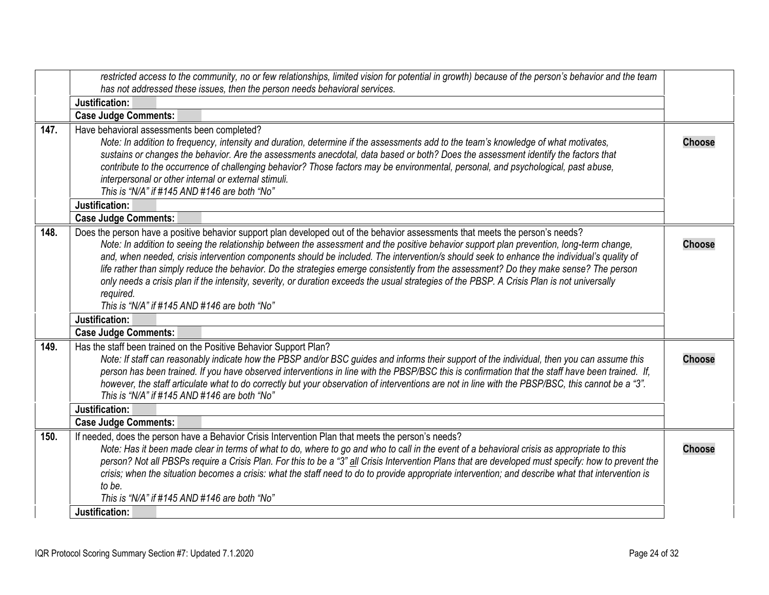<span id="page-23-3"></span><span id="page-23-2"></span><span id="page-23-1"></span><span id="page-23-0"></span>

|      | restricted access to the community, no or few relationships, limited vision for potential in growth) because of the person's behavior and the team                                                                                                                                     |               |
|------|----------------------------------------------------------------------------------------------------------------------------------------------------------------------------------------------------------------------------------------------------------------------------------------|---------------|
|      | has not addressed these issues, then the person needs behavioral services.                                                                                                                                                                                                             |               |
|      | Justification:                                                                                                                                                                                                                                                                         |               |
|      | <b>Case Judge Comments:</b>                                                                                                                                                                                                                                                            |               |
| 147. | Have behavioral assessments been completed?                                                                                                                                                                                                                                            |               |
|      | Note: In addition to frequency, intensity and duration, determine if the assessments add to the team's knowledge of what motivates,                                                                                                                                                    | <b>Choose</b> |
|      | sustains or changes the behavior. Are the assessments anecdotal, data based or both? Does the assessment identify the factors that                                                                                                                                                     |               |
|      | contribute to the occurrence of challenging behavior? Those factors may be environmental, personal, and psychological, past abuse,                                                                                                                                                     |               |
|      | interpersonal or other internal or external stimuli.<br>This is "N/A" if #145 AND #146 are both "No"                                                                                                                                                                                   |               |
|      |                                                                                                                                                                                                                                                                                        |               |
|      | Justification:                                                                                                                                                                                                                                                                         |               |
|      | <b>Case Judge Comments:</b>                                                                                                                                                                                                                                                            |               |
| 148. | Does the person have a positive behavior support plan developed out of the behavior assessments that meets the person's needs?                                                                                                                                                         |               |
|      | Note: In addition to seeing the relationship between the assessment and the positive behavior support plan prevention, long-term change,<br>and, when needed, crisis intervention components should be included. The intervention/s should seek to enhance the individual's quality of | <b>Choose</b> |
|      | life rather than simply reduce the behavior. Do the strategies emerge consistently from the assessment? Do they make sense? The person                                                                                                                                                 |               |
|      | only needs a crisis plan if the intensity, severity, or duration exceeds the usual strategies of the PBSP. A Crisis Plan is not universally                                                                                                                                            |               |
|      | required.                                                                                                                                                                                                                                                                              |               |
|      | This is "N/A" if #145 AND #146 are both "No"                                                                                                                                                                                                                                           |               |
|      | Justification:                                                                                                                                                                                                                                                                         |               |
|      | <b>Case Judge Comments:</b>                                                                                                                                                                                                                                                            |               |
| 149. | Has the staff been trained on the Positive Behavior Support Plan?                                                                                                                                                                                                                      |               |
|      | Note: If staff can reasonably indicate how the PBSP and/or BSC guides and informs their support of the individual, then you can assume this                                                                                                                                            | <b>Choose</b> |
|      | person has been trained. If you have observed interventions in line with the PBSP/BSC this is confirmation that the staff have been trained. If,                                                                                                                                       |               |
|      | however, the staff articulate what to do correctly but your observation of interventions are not in line with the PBSP/BSC, this cannot be a "3".                                                                                                                                      |               |
|      | This is "N/A" if #145 AND #146 are both "No"                                                                                                                                                                                                                                           |               |
|      | Justification:                                                                                                                                                                                                                                                                         |               |
|      | <b>Case Judge Comments:</b>                                                                                                                                                                                                                                                            |               |
| 150. | If needed, does the person have a Behavior Crisis Intervention Plan that meets the person's needs?                                                                                                                                                                                     |               |
|      | Note: Has it been made clear in terms of what to do, where to go and who to call in the event of a behavioral crisis as appropriate to this                                                                                                                                            | <b>Choose</b> |
|      | person? Not all PBSPs require a Crisis Plan. For this to be a "3" all Crisis Intervention Plans that are developed must specify: how to prevent the                                                                                                                                    |               |
|      | crisis; when the situation becomes a crisis: what the staff need to do to provide appropriate intervention; and describe what that intervention is                                                                                                                                     |               |
|      | to be.<br>This is "N/A" if #145 AND #146 are both "No"                                                                                                                                                                                                                                 |               |
|      | Justification:                                                                                                                                                                                                                                                                         |               |
|      |                                                                                                                                                                                                                                                                                        |               |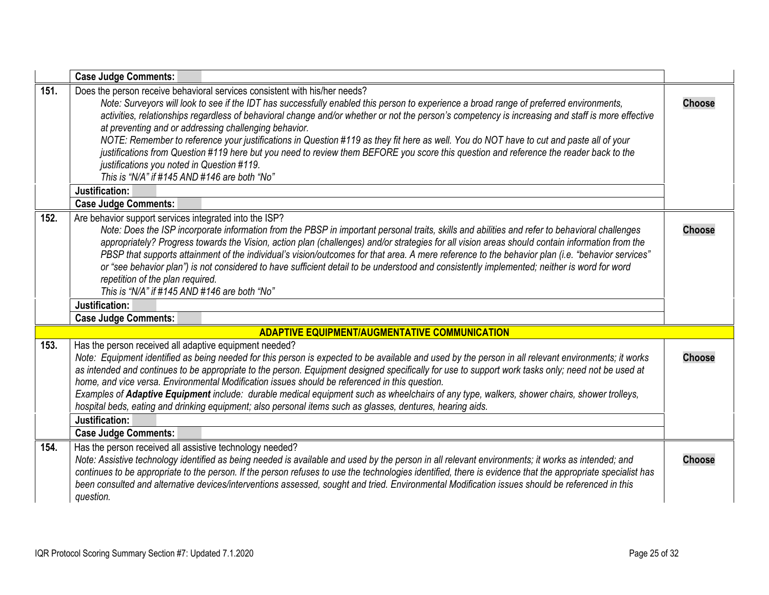<span id="page-24-4"></span><span id="page-24-3"></span><span id="page-24-2"></span><span id="page-24-1"></span><span id="page-24-0"></span>

|      | <b>Case Judge Comments:</b>                                                                                                                                                                                                                                                                                                                                                                                                                                                                                                                                                                                                                                                                                                                                                                                                              |               |
|------|------------------------------------------------------------------------------------------------------------------------------------------------------------------------------------------------------------------------------------------------------------------------------------------------------------------------------------------------------------------------------------------------------------------------------------------------------------------------------------------------------------------------------------------------------------------------------------------------------------------------------------------------------------------------------------------------------------------------------------------------------------------------------------------------------------------------------------------|---------------|
| 151. | Does the person receive behavioral services consistent with his/her needs?<br>Note: Surveyors will look to see if the IDT has successfully enabled this person to experience a broad range of preferred environments,<br>activities, relationships regardless of behavioral change and/or whether or not the person's competency is increasing and staff is more effective<br>at preventing and or addressing challenging behavior.<br>NOTE: Remember to reference your justifications in Question #119 as they fit here as well. You do NOT have to cut and paste all of your<br>justifications from Question #119 here but you need to review them BEFORE you score this question and reference the reader back to the<br>justifications you noted in Question #119.<br>This is "N/A" if #145 AND #146 are both "No"<br>Justification: | <b>Choose</b> |
|      | <b>Case Judge Comments:</b>                                                                                                                                                                                                                                                                                                                                                                                                                                                                                                                                                                                                                                                                                                                                                                                                              |               |
| 152. | Are behavior support services integrated into the ISP?<br>Note: Does the ISP incorporate information from the PBSP in important personal traits, skills and abilities and refer to behavioral challenges<br>appropriately? Progress towards the Vision, action plan (challenges) and/or strategies for all vision areas should contain information from the<br>PBSP that supports attainment of the individual's vision/outcomes for that area. A mere reference to the behavior plan (i.e. "behavior services"<br>or "see behavior plan") is not considered to have sufficient detail to be understood and consistently implemented; neither is word for word<br>repetition of the plan required.<br>This is "N/A" if #145 AND #146 are both "No"                                                                                       | <b>Choose</b> |
|      | Justification:                                                                                                                                                                                                                                                                                                                                                                                                                                                                                                                                                                                                                                                                                                                                                                                                                           |               |
|      | <b>Case Judge Comments:</b>                                                                                                                                                                                                                                                                                                                                                                                                                                                                                                                                                                                                                                                                                                                                                                                                              |               |
|      | <b>ADAPTIVE EQUIPMENT/AUGMENTATIVE COMMUNICATION</b>                                                                                                                                                                                                                                                                                                                                                                                                                                                                                                                                                                                                                                                                                                                                                                                     |               |
| 153. | Has the person received all adaptive equipment needed?<br>Note: Equipment identified as being needed for this person is expected to be available and used by the person in all relevant environments; it works<br>as intended and continues to be appropriate to the person. Equipment designed specifically for use to support work tasks only; need not be used at<br>home, and vice versa. Environmental Modification issues should be referenced in this question.<br>Examples of Adaptive Equipment include: durable medical equipment such as wheelchairs of any type, walkers, shower chairs, shower trolleys,<br>hospital beds, eating and drinking equipment; also personal items such as glasses, dentures, hearing aids.<br>Justification:<br><b>Case Judge Comments:</b>                                                     | <b>Choose</b> |
| 154. | Has the person received all assistive technology needed?                                                                                                                                                                                                                                                                                                                                                                                                                                                                                                                                                                                                                                                                                                                                                                                 |               |
|      | Note: Assistive technology identified as being needed is available and used by the person in all relevant environments; it works as intended; and<br>continues to be appropriate to the person. If the person refuses to use the technologies identified, there is evidence that the appropriate specialist has<br>been consulted and alternative devices/interventions assessed, sought and tried. Environmental Modification issues should be referenced in this<br>question.                                                                                                                                                                                                                                                                                                                                                          | <b>Choose</b> |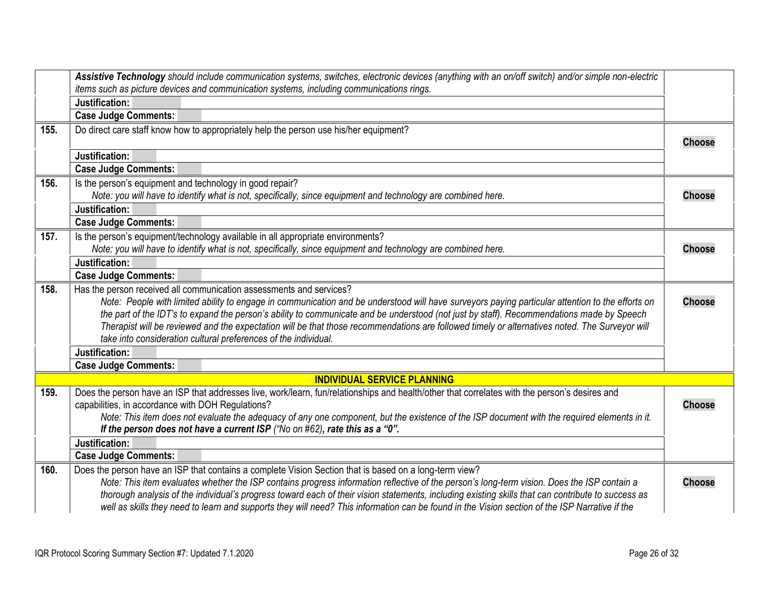<span id="page-25-6"></span><span id="page-25-5"></span><span id="page-25-4"></span><span id="page-25-3"></span><span id="page-25-2"></span><span id="page-25-1"></span><span id="page-25-0"></span>

|      | Assistive Technology should include communication systems, switches, electronic devices (anything with an on/off switch) and/or simple non-electric |               |
|------|-----------------------------------------------------------------------------------------------------------------------------------------------------|---------------|
|      | items such as picture devices and communication systems, including communications rings.                                                            |               |
|      | Justification:                                                                                                                                      |               |
|      | <b>Case Judge Comments:</b>                                                                                                                         |               |
| 155. | Do direct care staff know how to appropriately help the person use his/her equipment?                                                               | <b>Choose</b> |
|      | Justification:                                                                                                                                      |               |
|      | <b>Case Judge Comments:</b>                                                                                                                         |               |
| 156. | Is the person's equipment and technology in good repair?                                                                                            |               |
|      | Note: you will have to identify what is not, specifically, since equipment and technology are combined here.                                        | <b>Choose</b> |
|      | Justification:                                                                                                                                      |               |
|      | <b>Case Judge Comments:</b>                                                                                                                         |               |
| 157. | Is the person's equipment/technology available in all appropriate environments?                                                                     |               |
|      | Note: you will have to identify what is not, specifically, since equipment and technology are combined here.                                        | <b>Choose</b> |
|      | Justification:                                                                                                                                      |               |
|      | <b>Case Judge Comments:</b>                                                                                                                         |               |
| 158. | Has the person received all communication assessments and services?                                                                                 |               |
|      | Note: People with limited ability to engage in communication and be understood will have surveyors paying particular attention to the efforts on    | <b>Choose</b> |
|      | the part of the IDT's to expand the person's ability to communicate and be understood (not just by staff). Recommendations made by Speech           |               |
|      | Therapist will be reviewed and the expectation will be that those recommendations are followed timely or alternatives noted. The Surveyor will      |               |
|      | take into consideration cultural preferences of the individual.                                                                                     |               |
|      | Justification:                                                                                                                                      |               |
|      | <b>Case Judge Comments:</b>                                                                                                                         |               |
|      | <b>INDIVIDUAL SERVICE PLANNING</b>                                                                                                                  |               |
| 159. | Does the person have an ISP that addresses live, work/learn, fun/relationships and health/other that correlates with the person's desires and       |               |
|      | capabilities, in accordance with DOH Regulations?                                                                                                   | <b>Choose</b> |
|      | Note: This item does not evaluate the adequacy of any one component, but the existence of the ISP document with the required elements in it.        |               |
|      | If the person does not have a current ISP ("No on $#62$ ), rate this as a "0".                                                                      |               |
|      | Justification:                                                                                                                                      |               |
|      | <b>Case Judge Comments:</b>                                                                                                                         |               |
| 160. | Does the person have an ISP that contains a complete Vision Section that is based on a long-term view?                                              |               |
|      | Note: This item evaluates whether the ISP contains progress information reflective of the person's long-term vision. Does the ISP contain a         | <b>Choose</b> |
|      | thorough analysis of the individual's progress toward each of their vision statements, including existing skills that can contribute to success as  |               |
|      | well as skills they need to learn and supports they will need? This information can be found in the Vision section of the ISP Narrative if the      |               |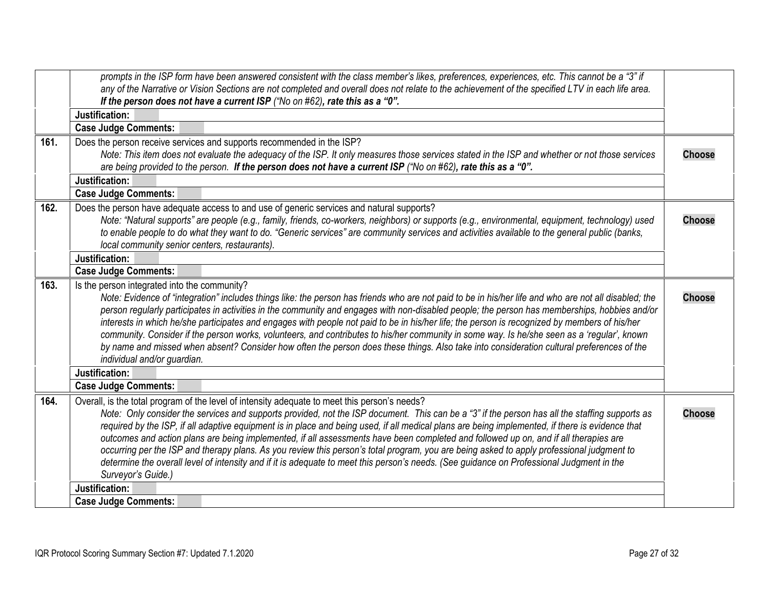<span id="page-26-3"></span><span id="page-26-2"></span><span id="page-26-1"></span><span id="page-26-0"></span>

|      | prompts in the ISP form have been answered consistent with the class member's likes, preferences, experiences, etc. This cannot be a "3" if<br>any of the Narrative or Vision Sections are not completed and overall does not relate to the achievement of the specified LTV in each life area.<br>If the person does not have a current ISP ("No on #62), rate this as a "0".                                                                                                                                                                                                                                                                                                                                                                                                                                                                              |               |
|------|-------------------------------------------------------------------------------------------------------------------------------------------------------------------------------------------------------------------------------------------------------------------------------------------------------------------------------------------------------------------------------------------------------------------------------------------------------------------------------------------------------------------------------------------------------------------------------------------------------------------------------------------------------------------------------------------------------------------------------------------------------------------------------------------------------------------------------------------------------------|---------------|
|      | Justification:                                                                                                                                                                                                                                                                                                                                                                                                                                                                                                                                                                                                                                                                                                                                                                                                                                              |               |
|      | <b>Case Judge Comments:</b>                                                                                                                                                                                                                                                                                                                                                                                                                                                                                                                                                                                                                                                                                                                                                                                                                                 |               |
| 161. | Does the person receive services and supports recommended in the ISP?<br>Note: This item does not evaluate the adequacy of the ISP. It only measures those services stated in the ISP and whether or not those services<br>are being provided to the person. If the person does not have a current ISP ("No on #62), rate this as a "0".                                                                                                                                                                                                                                                                                                                                                                                                                                                                                                                    | <b>Choose</b> |
|      | Justification:                                                                                                                                                                                                                                                                                                                                                                                                                                                                                                                                                                                                                                                                                                                                                                                                                                              |               |
|      | <b>Case Judge Comments:</b>                                                                                                                                                                                                                                                                                                                                                                                                                                                                                                                                                                                                                                                                                                                                                                                                                                 |               |
| 162. | Does the person have adequate access to and use of generic services and natural supports?<br>Note: "Natural supports" are people (e.g., family, friends, co-workers, neighbors) or supports (e.g., environmental, equipment, technology) used<br>to enable people to do what they want to do. "Generic services" are community services and activities available to the general public (banks,<br>local community senior centers, restaurants).                                                                                                                                                                                                                                                                                                                                                                                                             | <b>Choose</b> |
|      | Justification:                                                                                                                                                                                                                                                                                                                                                                                                                                                                                                                                                                                                                                                                                                                                                                                                                                              |               |
|      | <b>Case Judge Comments:</b>                                                                                                                                                                                                                                                                                                                                                                                                                                                                                                                                                                                                                                                                                                                                                                                                                                 |               |
| 163. | Is the person integrated into the community?<br>Note: Evidence of "integration" includes things like: the person has friends who are not paid to be in his/her life and who are not all disabled; the<br>person regularly participates in activities in the community and engages with non-disabled people; the person has memberships, hobbies and/or<br>interests in which he/she participates and engages with people not paid to be in his/her life; the person is recognized by members of his/her<br>community. Consider if the person works, volunteers, and contributes to his/her community in some way. Is he/she seen as a 'regular', known<br>by name and missed when absent? Consider how often the person does these things. Also take into consideration cultural preferences of the<br>individual and/or guardian.                          | <b>Choose</b> |
|      | Justification:                                                                                                                                                                                                                                                                                                                                                                                                                                                                                                                                                                                                                                                                                                                                                                                                                                              |               |
|      | <b>Case Judge Comments:</b>                                                                                                                                                                                                                                                                                                                                                                                                                                                                                                                                                                                                                                                                                                                                                                                                                                 |               |
| 164. | Overall, is the total program of the level of intensity adequate to meet this person's needs?<br>Note: Only consider the services and supports provided, not the ISP document. This can be a "3" if the person has all the staffing supports as<br>required by the ISP, if all adaptive equipment is in place and being used, if all medical plans are being implemented, if there is evidence that<br>outcomes and action plans are being implemented, if all assessments have been completed and followed up on, and if all therapies are<br>occurring per the ISP and therapy plans. As you review this person's total program, you are being asked to apply professional judgment to<br>determine the overall level of intensity and if it is adequate to meet this person's needs. (See guidance on Professional Judgment in the<br>Surveyor's Guide.) | <b>Choose</b> |
|      | Justification:                                                                                                                                                                                                                                                                                                                                                                                                                                                                                                                                                                                                                                                                                                                                                                                                                                              |               |
|      | <b>Case Judge Comments:</b>                                                                                                                                                                                                                                                                                                                                                                                                                                                                                                                                                                                                                                                                                                                                                                                                                                 |               |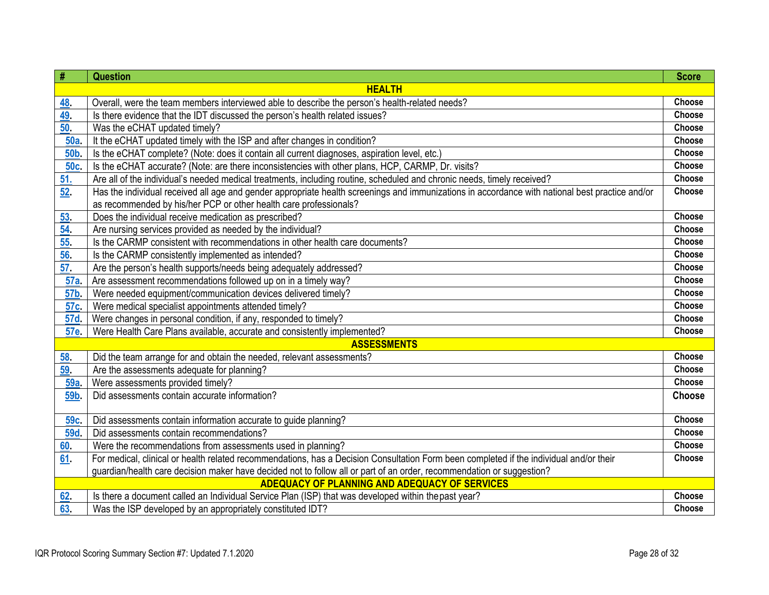| $\#$            | <b>Question</b>                                                                                                                                                                                                      | <b>Score</b>  |
|-----------------|----------------------------------------------------------------------------------------------------------------------------------------------------------------------------------------------------------------------|---------------|
|                 | <b>HEALTH</b>                                                                                                                                                                                                        |               |
| <u>48</u>       | Overall, were the team members interviewed able to describe the person's health-related needs?                                                                                                                       | Choose        |
| 49.             | Is there evidence that the IDT discussed the person's health related issues?                                                                                                                                         | Choose        |
| 50.             | Was the eCHAT updated timely?                                                                                                                                                                                        | <b>Choose</b> |
| 50a             | It the eCHAT updated timely with the ISP and after changes in condition?                                                                                                                                             | Choose        |
| <b>50b</b>      | Is the eCHAT complete? (Note: does it contain all current diagnoses, aspiration level, etc.)                                                                                                                         | Choose        |
| 50c.            | Is the eCHAT accurate? (Note: are there inconsistencies with other plans, HCP, CARMP, Dr. visits?                                                                                                                    | Choose        |
| 51.             | Are all of the individual's needed medical treatments, including routine, scheduled and chronic needs, timely received?                                                                                              | Choose        |
| 52.             | Has the individual received all age and gender appropriate health screenings and immunizations in accordance with national best practice and/or<br>as recommended by his/her PCP or other health care professionals? | Choose        |
| 53.             | Does the individual receive medication as prescribed?                                                                                                                                                                | Choose        |
| 54              | Are nursing services provided as needed by the individual?                                                                                                                                                           | Choose        |
| 55.             | Is the CARMP consistent with recommendations in other health care documents?                                                                                                                                         | Choose        |
| 56.             | Is the CARMP consistently implemented as intended?                                                                                                                                                                   | Choose        |
| 57.             | Are the person's health supports/needs being adequately addressed?                                                                                                                                                   | Choose        |
| 57a             | Are assessment recommendations followed up on in a timely way?                                                                                                                                                       | Choose        |
| 57b.            | Were needed equipment/communication devices delivered timely?                                                                                                                                                        | Choose        |
| 57c.            | Were medical specialist appointments attended timely?                                                                                                                                                                | Choose        |
| 57d             | Were changes in personal condition, if any, responded to timely?                                                                                                                                                     | Choose        |
| 57e.            | Were Health Care Plans available, accurate and consistently implemented?                                                                                                                                             | Choose        |
|                 | <b>ASSESSMENTS</b>                                                                                                                                                                                                   |               |
| 58.             | Did the team arrange for and obtain the needed, relevant assessments?                                                                                                                                                | Choose        |
| 59.             | Are the assessments adequate for planning?                                                                                                                                                                           | Choose        |
| 59a.            | Were assessments provided timely?                                                                                                                                                                                    | Choose        |
| 59 <sub>b</sub> | Did assessments contain accurate information?                                                                                                                                                                        | <b>Choose</b> |
| 59c.            | Did assessments contain information accurate to guide planning?                                                                                                                                                      | Choose        |
| <b>59d</b>      | Did assessments contain recommendations?                                                                                                                                                                             | Choose        |
| 60              | Were the recommendations from assessments used in planning?                                                                                                                                                          | Choose        |
| 61              | For medical, clinical or health related recommendations, has a Decision Consultation Form been completed if the individual and/or their                                                                              | Choose        |
|                 | guardian/health care decision maker have decided not to follow all or part of an order, recommendation or suggestion?                                                                                                |               |
|                 | ADEQUACY OF PLANNING AND ADEQUACY OF SERVICES                                                                                                                                                                        |               |
| 62.             | Is there a document called an Individual Service Plan (ISP) that was developed within the past year?                                                                                                                 | Choose        |
| 63.             | Was the ISP developed by an appropriately constituted IDT?                                                                                                                                                           | Choose        |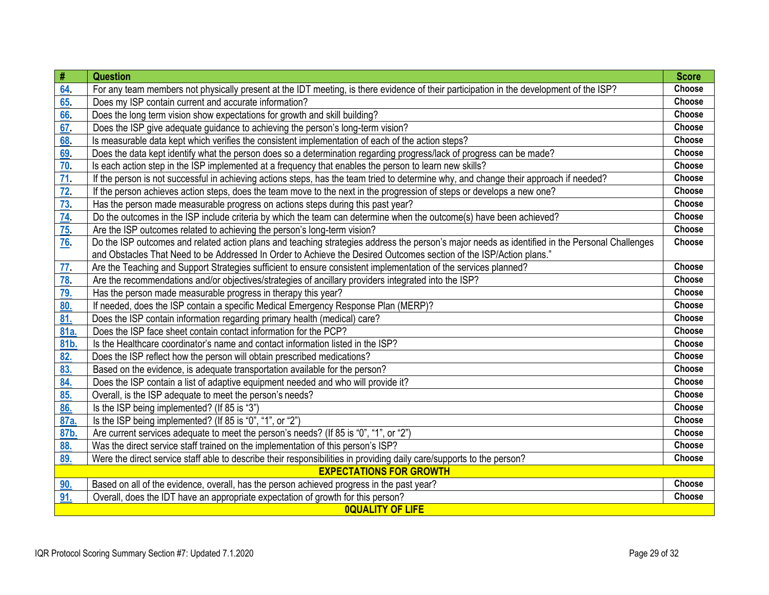| #                | <b>Question</b>                                                                                                                                | <b>Score</b> |
|------------------|------------------------------------------------------------------------------------------------------------------------------------------------|--------------|
| 64               | For any team members not physically present at the IDT meeting, is there evidence of their participation in the development of the ISP?        | Choose       |
| 65               | Does my ISP contain current and accurate information?                                                                                          | Choose       |
| 66               | Does the long term vision show expectations for growth and skill building?                                                                     | Choose       |
| 67               | Does the ISP give adequate guidance to achieving the person's long-term vision?                                                                | Choose       |
| 68               | Is measurable data kept which verifies the consistent implementation of each of the action steps?                                              | Choose       |
| 69               | Does the data kept identify what the person does so a determination regarding progress/lack of progress can be made?                           | Choose       |
| 70               | Is each action step in the ISP implemented at a frequency that enables the person to learn new skills?                                         | Choose       |
| $\underline{71}$ | If the person is not successful in achieving actions steps, has the team tried to determine why, and change their approach if needed?          | Choose       |
| 72.              | If the person achieves action steps, does the team move to the next in the progression of steps or develops a new one?                         | Choose       |
| 73               | Has the person made measurable progress on actions steps during this past year?                                                                | Choose       |
| 74               | Do the outcomes in the ISP include criteria by which the team can determine when the outcome(s) have been achieved?                            | Choose       |
| 75 <sub>1</sub>  | Are the ISP outcomes related to achieving the person's long-term vision?                                                                       | Choose       |
| <u>76</u>        | Do the ISP outcomes and related action plans and teaching strategies address the person's major needs as identified in the Personal Challenges | Choose       |
|                  | and Obstacles That Need to be Addressed In Order to Achieve the Desired Outcomes section of the ISP/Action plans."                             |              |
| 77 <sub>1</sub>  | Are the Teaching and Support Strategies sufficient to ensure consistent implementation of the services planned?                                | Choose       |
| 78.              | Are the recommendations and/or objectives/strategies of ancillary providers integrated into the ISP?                                           | Choose       |
| 79.              | Has the person made measurable progress in therapy this year?                                                                                  | Choose       |
| 80.              | If needed, does the ISP contain a specific Medical Emergency Response Plan (MERP)?                                                             | Choose       |
| 81.              | Does the ISP contain information regarding primary health (medical) care?                                                                      | Choose       |
| 81a.             | Does the ISP face sheet contain contact information for the PCP?                                                                               | Choose       |
| 81b.             | Is the Healthcare coordinator's name and contact information listed in the ISP?                                                                | Choose       |
| 82.              | Does the ISP reflect how the person will obtain prescribed medications?                                                                        | Choose       |
| 83.              | Based on the evidence, is adequate transportation available for the person?                                                                    | Choose       |
| 84.              | Does the ISP contain a list of adaptive equipment needed and who will provide it?                                                              | Choose       |
| 85.              | Overall, is the ISP adequate to meet the person's needs?                                                                                       | Choose       |
| 86.              | Is the ISP being implemented? (If 85 is "3")                                                                                                   | Choose       |
| 87a.             | Is the ISP being implemented? (If 85 is "0", "1", or "2")                                                                                      | Choose       |
| 87b.             | Are current services adequate to meet the person's needs? (If 85 is "0", "1", or "2")                                                          | Choose       |
| 88.              | Was the direct service staff trained on the implementation of this person's ISP?                                                               | Choose       |
| 89.              | Were the direct service staff able to describe their responsibilities in providing daily care/supports to the person?                          | Choose       |
|                  | <b>EXPECTATIONS FOR GROWTH</b>                                                                                                                 |              |
| 90.              | Based on all of the evidence, overall, has the person achieved progress in the past year?                                                      | Choose       |
| 91.              | Overall, does the IDT have an appropriate expectation of growth for this person?                                                               | Choose       |
|                  | <b>OQUALITY OF LIFE</b>                                                                                                                        |              |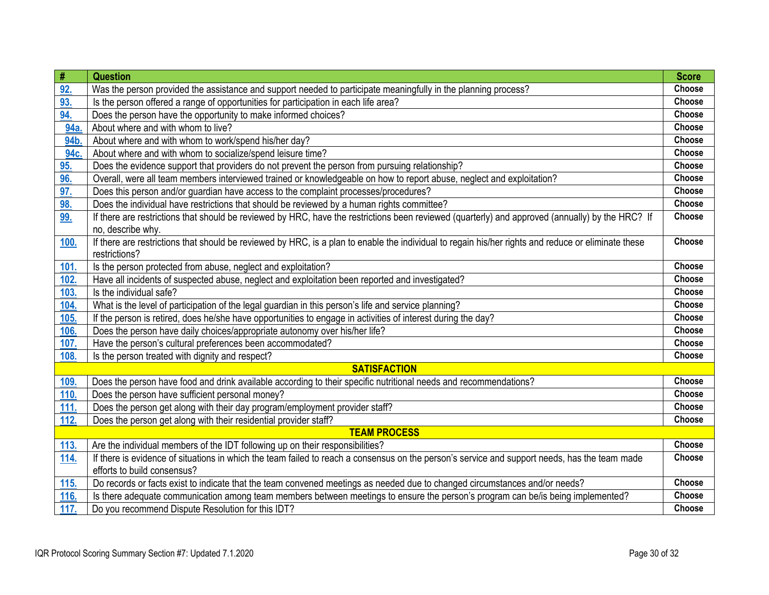| #           | <b>Question</b>                                                                                                                                     | <b>Score</b> |
|-------------|-----------------------------------------------------------------------------------------------------------------------------------------------------|--------------|
| 92.         | Was the person provided the assistance and support needed to participate meaningfully in the planning process?                                      | Choose       |
| 93.         | Is the person offered a range of opportunities for participation in each life area?                                                                 | Choose       |
| 94.         | Does the person have the opportunity to make informed choices?                                                                                      | Choose       |
| 94a         | About where and with whom to live?                                                                                                                  | Choose       |
| 94b.        | About where and with whom to work/spend his/her day?                                                                                                | Choose       |
| 94c.        | About where and with whom to socialize/spend leisure time?                                                                                          | Choose       |
| 95.         | Does the evidence support that providers do not prevent the person from pursuing relationship?                                                      | Choose       |
| 96.         | Overall, were all team members interviewed trained or knowledgeable on how to report abuse, neglect and exploitation?                               | Choose       |
| 97.         | Does this person and/or guardian have access to the complaint processes/procedures?                                                                 | Choose       |
| 98.         | Does the individual have restrictions that should be reviewed by a human rights committee?                                                          | Choose       |
| 99.         | If there are restrictions that should be reviewed by HRC, have the restrictions been reviewed (quarterly) and approved (annually) by the HRC? If    | Choose       |
|             | no, describe why.                                                                                                                                   |              |
| <u>100.</u> | If there are restrictions that should be reviewed by HRC, is a plan to enable the individual to regain his/her rights and reduce or eliminate these | Choose       |
|             | restrictions?                                                                                                                                       |              |
| 101.        | Is the person protected from abuse, neglect and exploitation?                                                                                       | Choose       |
| 102.        | Have all incidents of suspected abuse, neglect and exploitation been reported and investigated?                                                     | Choose       |
| 103.        | Is the individual safe?                                                                                                                             | Choose       |
| 104.        | What is the level of participation of the legal guardian in this person's life and service planning?                                                | Choose       |
| 105.        | If the person is retired, does he/she have opportunities to engage in activities of interest during the day?                                        | Choose       |
| 106.        | Does the person have daily choices/appropriate autonomy over his/her life?                                                                          | Choose       |
| 107.        | Have the person's cultural preferences been accommodated?                                                                                           | Choose       |
| 108.        | Is the person treated with dignity and respect?                                                                                                     | Choose       |
|             | <b>SATISFACTION</b>                                                                                                                                 |              |
| 109.        | Does the person have food and drink available according to their specific nutritional needs and recommendations?                                    | Choose       |
| 110.        | Does the person have sufficient personal money?                                                                                                     | Choose       |
| 111.        | Does the person get along with their day program/employment provider staff?                                                                         | Choose       |
| 112.        | Does the person get along with their residential provider staff?                                                                                    | Choose       |
|             | <b>TEAM PROCESS</b>                                                                                                                                 |              |
| <u>113.</u> | Are the individual members of the IDT following up on their responsibilities?                                                                       | Choose       |
| <b>114.</b> | If there is evidence of situations in which the team failed to reach a consensus on the person's service and support needs, has the team made       | Choose       |
|             | efforts to build consensus?                                                                                                                         |              |
| <b>115.</b> | Do records or facts exist to indicate that the team convened meetings as needed due to changed circumstances and/or needs?                          | Choose       |
| <b>116.</b> | Is there adequate communication among team members between meetings to ensure the person's program can be/is being implemented?                     | Choose       |
| 117.        | Do you recommend Dispute Resolution for this IDT?                                                                                                   | Choose       |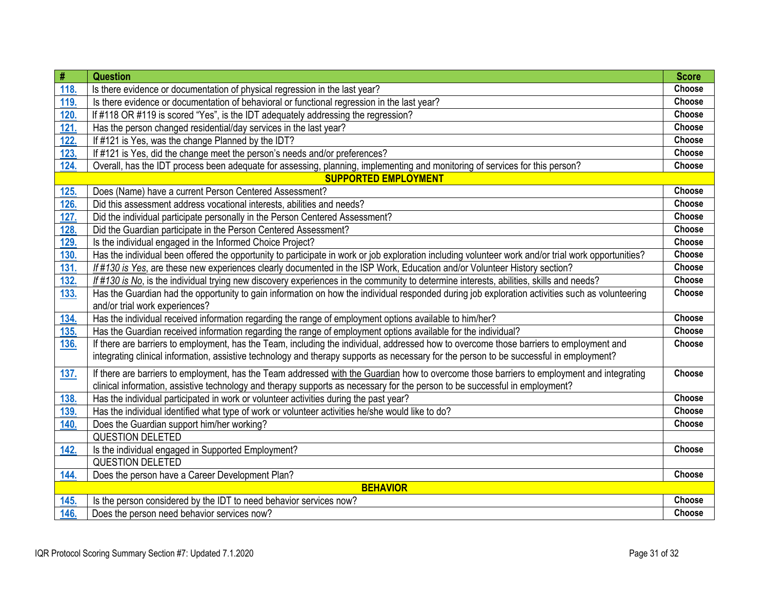| $\#$            | <b>Question</b>                                                                                                                                     | <b>Score</b>  |
|-----------------|-----------------------------------------------------------------------------------------------------------------------------------------------------|---------------|
| 118.            | Is there evidence or documentation of physical regression in the last year?                                                                         | Choose        |
| 119.            | Is there evidence or documentation of behavioral or functional regression in the last year?                                                         | Choose        |
| 120.            | If #118 OR #119 is scored "Yes", is the IDT adequately addressing the regression?                                                                   | Choose        |
| 121.            | Has the person changed residential/day services in the last year?                                                                                   | Choose        |
| 122.            | If #121 is Yes, was the change Planned by the IDT?                                                                                                  | Choose        |
| 123.            | If #121 is Yes, did the change meet the person's needs and/or preferences?                                                                          | Choose        |
| 124.            | Overall, has the IDT process been adequate for assessing, planning, implementing and monitoring of services for this person?                        | Choose        |
|                 | <b>SUPPORTED EMPLOYMENT</b>                                                                                                                         |               |
| 125.            | Does (Name) have a current Person Centered Assessment?                                                                                              | Choose        |
| 126.            | Did this assessment address vocational interests, abilities and needs?                                                                              | Choose        |
| 127.            | Did the individual participate personally in the Person Centered Assessment?                                                                        | Choose        |
| 128.            | Did the Guardian participate in the Person Centered Assessment?                                                                                     | Choose        |
| 129.            | Is the individual engaged in the Informed Choice Project?                                                                                           | Choose        |
| 130.            | Has the individual been offered the opportunity to participate in work or job exploration including volunteer work and/or trial work opportunities? | Choose        |
| 131.            | If #130 is Yes, are these new experiences clearly documented in the ISP Work, Education and/or Volunteer History section?                           | <b>Choose</b> |
| 132.            | If #130 is No, is the individual trying new discovery experiences in the community to determine interests, abilities, skills and needs?             | <b>Choose</b> |
| 133.            | Has the Guardian had the opportunity to gain information on how the individual responded during job exploration activities such as volunteering     | Choose        |
|                 | and/or trial work experiences?                                                                                                                      |               |
| 134.            | Has the individual received information regarding the range of employment options available to him/her?                                             | Choose        |
| 135.            | Has the Guardian received information regarding the range of employment options available for the individual?                                       | Choose        |
| 136.            | If there are barriers to employment, has the Team, including the individual, addressed how to overcome those barriers to employment and             | Choose        |
|                 | integrating clinical information, assistive technology and therapy supports as necessary for the person to be successful in employment?             |               |
| 137.            | If there are barriers to employment, has the Team addressed with the Guardian how to overcome those barriers to employment and integrating          | Choose        |
|                 | clinical information, assistive technology and therapy supports as necessary for the person to be successful in employment?                         |               |
| 138.            | Has the individual participated in work or volunteer activities during the past year?                                                               | Choose        |
| 139.            | Has the individual identified what type of work or volunteer activities he/she would like to do?                                                    | Choose        |
| 140.            | Does the Guardian support him/her working?                                                                                                          | <b>Choose</b> |
|                 | <b>QUESTION DELETED</b>                                                                                                                             |               |
| 142.            | Is the individual engaged in Supported Employment?                                                                                                  | <b>Choose</b> |
|                 | <b>QUESTION DELETED</b>                                                                                                                             |               |
| 144.            | Does the person have a Career Development Plan?                                                                                                     | Choose        |
| <b>BEHAVIOR</b> |                                                                                                                                                     |               |
| 145.            | Is the person considered by the IDT to need behavior services now?                                                                                  | Choose        |
| 146.            | Does the person need behavior services now?                                                                                                         | Choose        |